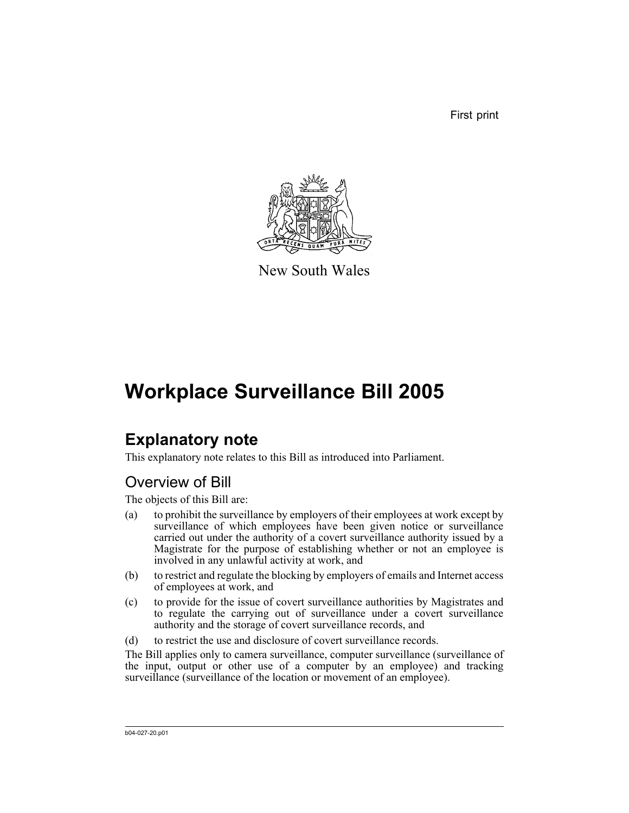First print



New South Wales

# **Workplace Surveillance Bill 2005**

# **Explanatory note**

This explanatory note relates to this Bill as introduced into Parliament.

## Overview of Bill

The objects of this Bill are:

- (a) to prohibit the surveillance by employers of their employees at work except by surveillance of which employees have been given notice or surveillance carried out under the authority of a covert surveillance authority issued by a Magistrate for the purpose of establishing whether or not an employee is involved in any unlawful activity at work, and
- (b) to restrict and regulate the blocking by employers of emails and Internet access of employees at work, and
- (c) to provide for the issue of covert surveillance authorities by Magistrates and to regulate the carrying out of surveillance under a covert surveillance authority and the storage of covert surveillance records, and
- (d) to restrict the use and disclosure of covert surveillance records.

The Bill applies only to camera surveillance, computer surveillance (surveillance of the input, output or other use of a computer by an employee) and tracking surveillance (surveillance of the location or movement of an employee).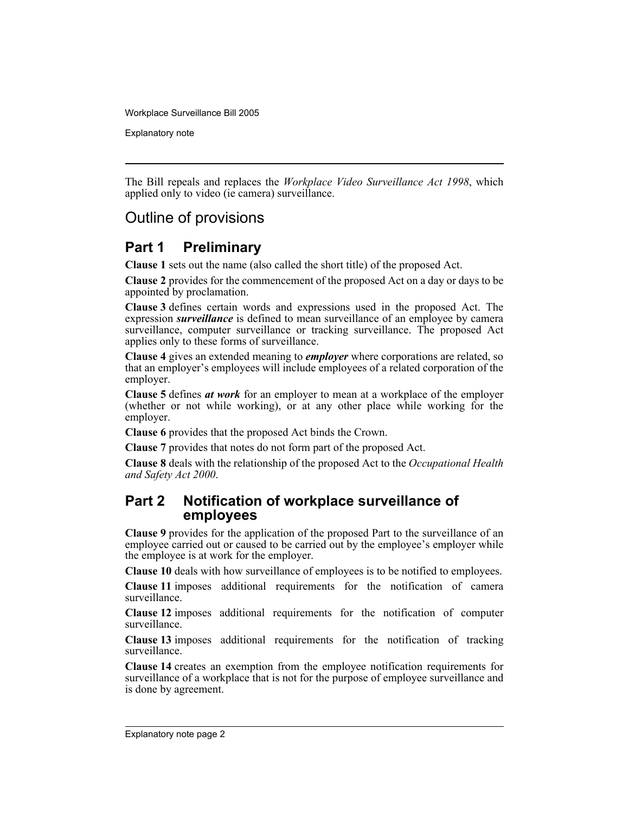Explanatory note

The Bill repeals and replaces the *Workplace Video Surveillance Act 1998*, which applied only to video (ie camera) surveillance.

## Outline of provisions

## **Part 1 Preliminary**

**Clause 1** sets out the name (also called the short title) of the proposed Act.

**Clause 2** provides for the commencement of the proposed Act on a day or days to be appointed by proclamation.

**Clause 3** defines certain words and expressions used in the proposed Act. The expression *surveillance* is defined to mean surveillance of an employee by camera surveillance, computer surveillance or tracking surveillance. The proposed Act applies only to these forms of surveillance.

**Clause 4** gives an extended meaning to *employer* where corporations are related, so that an employer's employees will include employees of a related corporation of the employer.

**Clause 5** defines *at work* for an employer to mean at a workplace of the employer (whether or not while working), or at any other place while working for the employer.

**Clause 6** provides that the proposed Act binds the Crown.

**Clause 7** provides that notes do not form part of the proposed Act.

**Clause 8** deals with the relationship of the proposed Act to the *Occupational Health and Safety Act 2000*.

## **Part 2 Notification of workplace surveillance of employees**

**Clause 9** provides for the application of the proposed Part to the surveillance of an employee carried out or caused to be carried out by the employee's employer while the employee is at work for the employer.

**Clause 10** deals with how surveillance of employees is to be notified to employees.

**Clause 11** imposes additional requirements for the notification of camera surveillance.

**Clause 12** imposes additional requirements for the notification of computer surveillance.

**Clause 13** imposes additional requirements for the notification of tracking surveillance.

**Clause 14** creates an exemption from the employee notification requirements for surveillance of a workplace that is not for the purpose of employee surveillance and is done by agreement.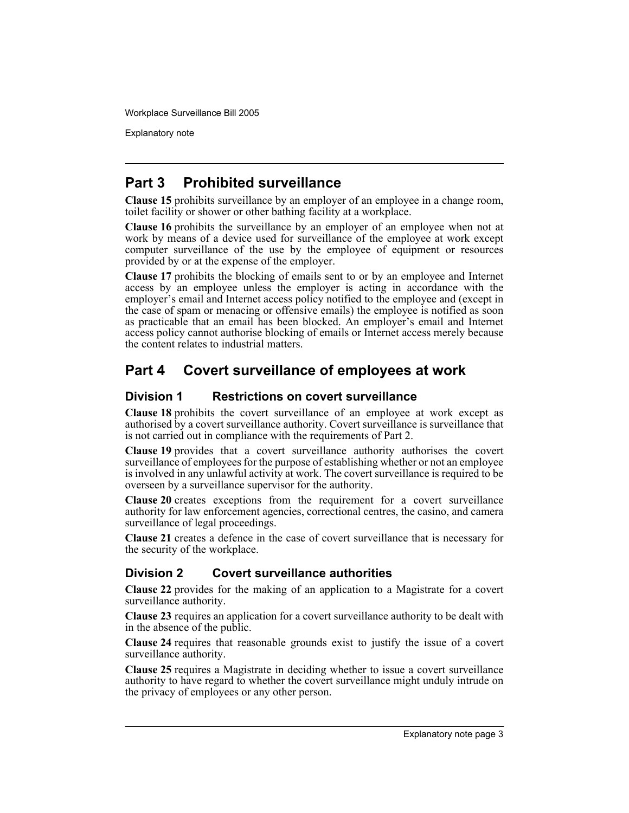Explanatory note

## **Part 3 Prohibited surveillance**

**Clause 15** prohibits surveillance by an employer of an employee in a change room, toilet facility or shower or other bathing facility at a workplace.

**Clause 16** prohibits the surveillance by an employer of an employee when not at work by means of a device used for surveillance of the employee at work except computer surveillance of the use by the employee of equipment or resources provided by or at the expense of the employer.

**Clause 17** prohibits the blocking of emails sent to or by an employee and Internet access by an employee unless the employer is acting in accordance with the employer's email and Internet access policy notified to the employee and (except in the case of spam or menacing or offensive emails) the employee is notified as soon as practicable that an email has been blocked. An employer's email and Internet access policy cannot authorise blocking of emails or Internet access merely because the content relates to industrial matters.

## **Part 4 Covert surveillance of employees at work**

### **Division 1 Restrictions on covert surveillance**

**Clause 18** prohibits the covert surveillance of an employee at work except as authorised by a covert surveillance authority. Covert surveillance is surveillance that is not carried out in compliance with the requirements of Part 2.

**Clause 19** provides that a covert surveillance authority authorises the covert surveillance of employees for the purpose of establishing whether or not an employee is involved in any unlawful activity at work. The covert surveillance is required to be overseen by a surveillance supervisor for the authority.

**Clause 20** creates exceptions from the requirement for a covert surveillance authority for law enforcement agencies, correctional centres, the casino, and camera surveillance of legal proceedings.

**Clause 21** creates a defence in the case of covert surveillance that is necessary for the security of the workplace.

## **Division 2 Covert surveillance authorities**

**Clause 22** provides for the making of an application to a Magistrate for a covert surveillance authority.

**Clause 23** requires an application for a covert surveillance authority to be dealt with in the absence of the public.

**Clause 24** requires that reasonable grounds exist to justify the issue of a covert surveillance authority.

**Clause 25** requires a Magistrate in deciding whether to issue a covert surveillance authority to have regard to whether the covert surveillance might unduly intrude on the privacy of employees or any other person.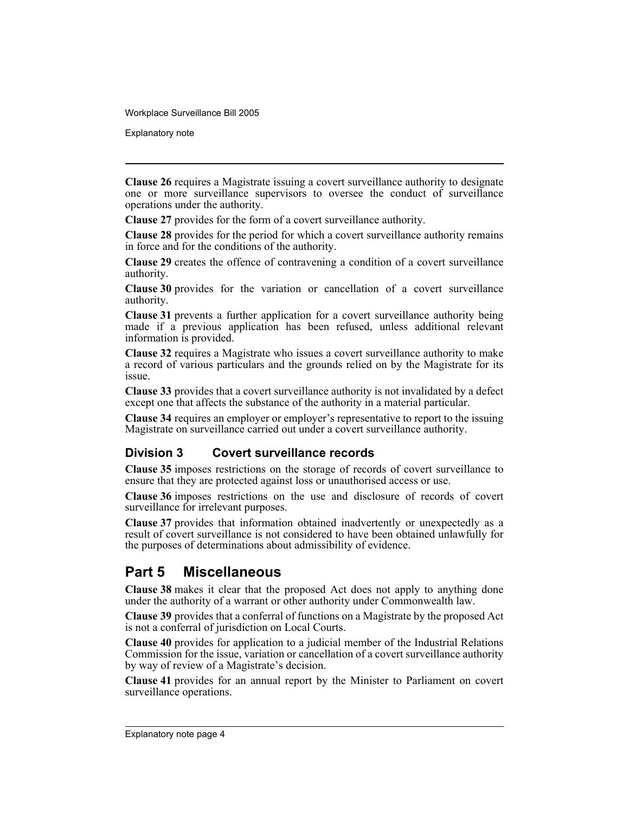Explanatory note

**Clause 26** requires a Magistrate issuing a covert surveillance authority to designate one or more surveillance supervisors to oversee the conduct of surveillance operations under the authority.

**Clause 27** provides for the form of a covert surveillance authority.

**Clause 28** provides for the period for which a covert surveillance authority remains in force and for the conditions of the authority.

**Clause 29** creates the offence of contravening a condition of a covert surveillance authority.

**Clause 30** provides for the variation or cancellation of a covert surveillance authority.

**Clause 31** prevents a further application for a covert surveillance authority being made if a previous application has been refused, unless additional relevant information is provided.

**Clause 32** requires a Magistrate who issues a covert surveillance authority to make a record of various particulars and the grounds relied on by the Magistrate for its issue.

**Clause 33** provides that a covert surveillance authority is not invalidated by a defect except one that affects the substance of the authority in a material particular.

**Clause 34** requires an employer or employer's representative to report to the issuing Magistrate on surveillance carried out under a covert surveillance authority.

### **Division 3 Covert surveillance records**

**Clause 35** imposes restrictions on the storage of records of covert surveillance to ensure that they are protected against loss or unauthorised access or use.

**Clause 36** imposes restrictions on the use and disclosure of records of covert surveillance for irrelevant purposes.

**Clause 37** provides that information obtained inadvertently or unexpectedly as a result of covert surveillance is not considered to have been obtained unlawfully for the purposes of determinations about admissibility of evidence.

## **Part 5 Miscellaneous**

**Clause 38** makes it clear that the proposed Act does not apply to anything done under the authority of a warrant or other authority under Commonwealth law.

**Clause 39** provides that a conferral of functions on a Magistrate by the proposed Act is not a conferral of jurisdiction on Local Courts.

**Clause 40** provides for application to a judicial member of the Industrial Relations Commission for the issue, variation or cancellation of a covert surveillance authority by way of review of a Magistrate's decision.

**Clause 41** provides for an annual report by the Minister to Parliament on covert surveillance operations.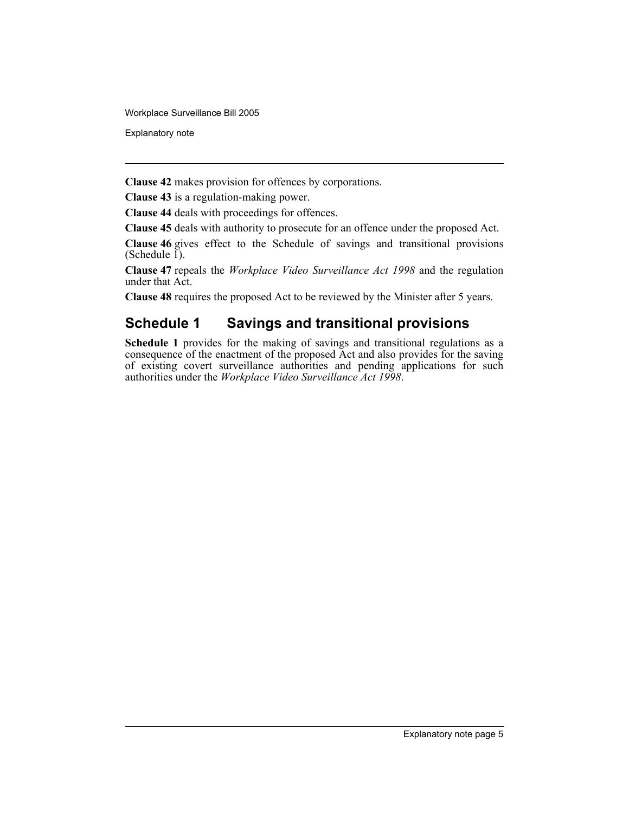Explanatory note

**Clause 42** makes provision for offences by corporations.

**Clause 43** is a regulation-making power.

**Clause 44** deals with proceedings for offences.

**Clause 45** deals with authority to prosecute for an offence under the proposed Act.

**Clause 46** gives effect to the Schedule of savings and transitional provisions (Schedule  $1$ ).

**Clause 47** repeals the *Workplace Video Surveillance Act 1998* and the regulation under that Act.

**Clause 48** requires the proposed Act to be reviewed by the Minister after 5 years.

## **Schedule 1 Savings and transitional provisions**

**Schedule 1** provides for the making of savings and transitional regulations as a consequence of the enactment of the proposed Act and also provides for the saving of existing covert surveillance authorities and pending applications for such authorities under the *Workplace Video Surveillance Act 1998*.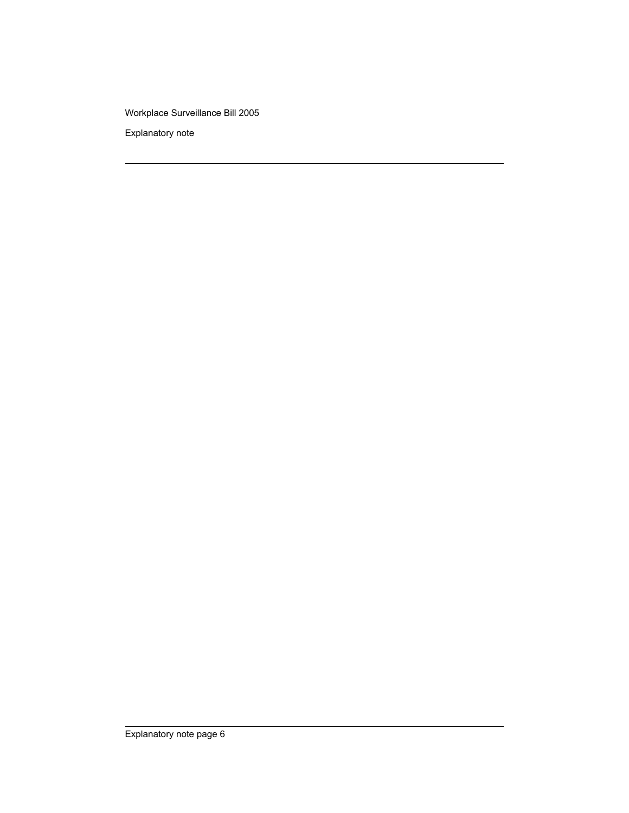Explanatory note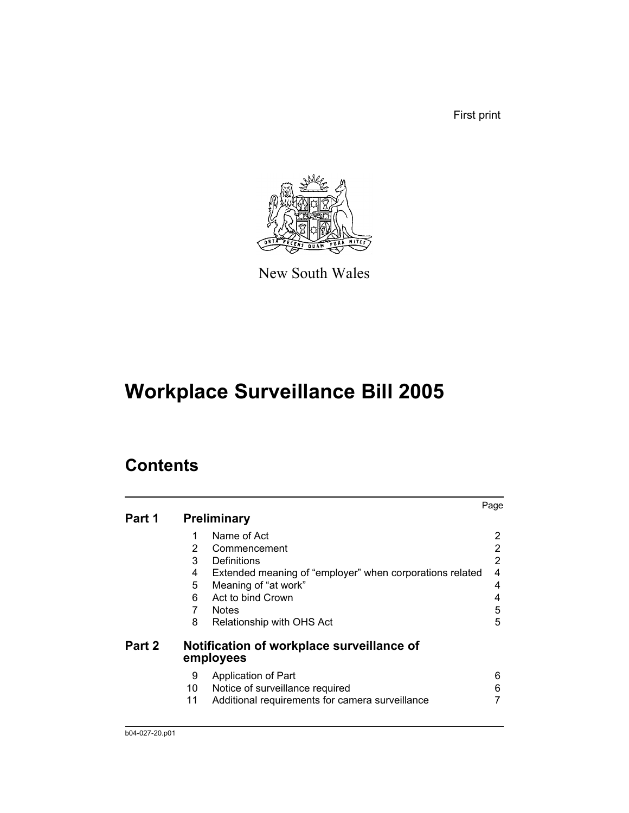First print



New South Wales

# **Workplace Surveillance Bill 2005**

# **Contents**

|        |                                                               | Page |
|--------|---------------------------------------------------------------|------|
| Part 1 | <b>Preliminary</b>                                            |      |
|        | Name of Act<br>1                                              | 2    |
|        | 2<br>Commencement                                             | 2    |
|        | 3<br>Definitions                                              | 2    |
|        | Extended meaning of "employer" when corporations related<br>4 | 4    |
|        | Meaning of "at work"<br>5                                     | 4    |
|        | Act to bind Crown<br>6                                        | 4    |
|        | 7<br><b>Notes</b>                                             | 5    |
|        | 8<br>Relationship with OHS Act                                | 5    |
| Part 2 | Notification of workplace surveillance of<br>employees        |      |
|        | 9<br>Application of Part                                      | 6    |
|        | Notice of surveillance required<br>10                         | 6    |
|        | 11<br>Additional requirements for camera surveillance         |      |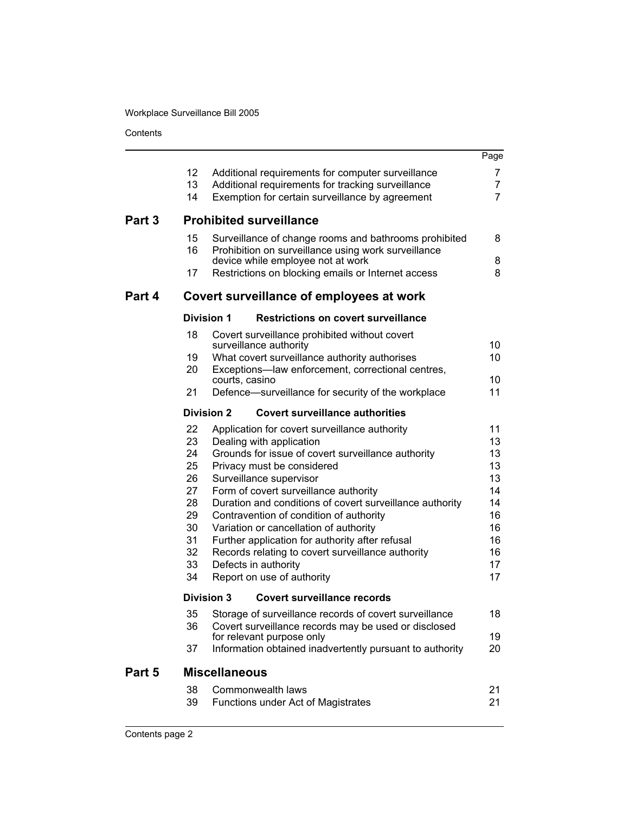**Contents** 

|        |          |                                                                                          | Page           |
|--------|----------|------------------------------------------------------------------------------------------|----------------|
|        | 12       | Additional requirements for computer surveillance                                        | 7              |
|        | 13       | Additional requirements for tracking surveillance                                        | 7              |
|        | 14       | Exemption for certain surveillance by agreement                                          | $\overline{7}$ |
| Part 3 |          | <b>Prohibited surveillance</b>                                                           |                |
|        | 15       | Surveillance of change rooms and bathrooms prohibited                                    | 8              |
|        | 16       | Prohibition on surveillance using work surveillance<br>device while employee not at work | 8              |
|        | 17       | Restrictions on blocking emails or Internet access                                       | 8              |
| Part 4 |          | Covert surveillance of employees at work                                                 |                |
|        |          | <b>Division 1</b><br><b>Restrictions on covert surveillance</b>                          |                |
|        | 18       | Covert surveillance prohibited without covert<br>surveillance authority                  | 10             |
|        | 19       | What covert surveillance authority authorises                                            | 10             |
|        | 20       | Exceptions-law enforcement, correctional centres,                                        |                |
|        | 21       | courts, casino<br>Defence-surveillance for security of the workplace                     | 10<br>11       |
|        |          | <b>Division 2</b><br><b>Covert surveillance authorities</b>                              |                |
|        | 22       | Application for covert surveillance authority                                            | 11             |
|        | 23       | Dealing with application                                                                 | 13             |
|        | 24       | Grounds for issue of covert surveillance authority                                       | 13             |
|        | 25<br>26 | Privacy must be considered<br>Surveillance supervisor                                    | 13<br>13       |
|        | 27       | Form of covert surveillance authority                                                    | 14             |
|        | 28       | Duration and conditions of covert surveillance authority                                 | 14             |
|        | 29       | Contravention of condition of authority                                                  | 16             |
|        | 30       | Variation or cancellation of authority                                                   | 16             |
|        | 31       | Further application for authority after refusal                                          | 16             |
|        | 32       | Records relating to covert surveillance authority                                        | 16             |
|        | 33<br>34 | Defects in authority<br>Report on use of authority                                       | 17<br>17       |
|        |          | <b>Division 3</b><br><b>Covert surveillance records</b>                                  |                |
|        | 35       | Storage of surveillance records of covert surveillance                                   | 18             |
|        | 36       | Covert surveillance records may be used or disclosed                                     |                |
|        | 37       | for relevant purpose only<br>Information obtained inadvertently pursuant to authority    | 19<br>20       |
| Part 5 |          | <b>Miscellaneous</b>                                                                     |                |
|        | 38       | Commonwealth laws                                                                        | 21             |
|        | 39       | Functions under Act of Magistrates                                                       | 21             |
|        |          |                                                                                          |                |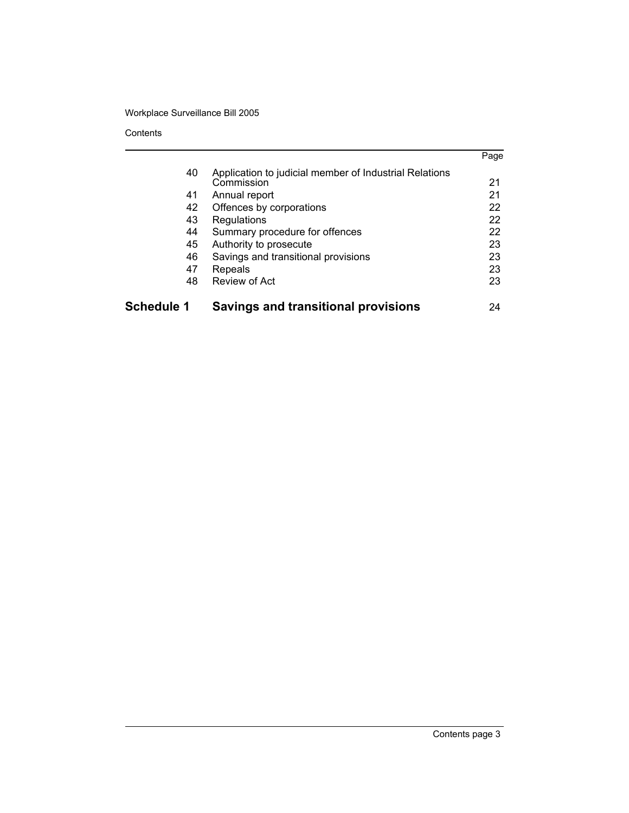#### **Contents**

|                   |                                                                      | Page |
|-------------------|----------------------------------------------------------------------|------|
| 40                | Application to judicial member of Industrial Relations<br>Commission | 21   |
| 41                | Annual report                                                        | 21   |
| 42                | Offences by corporations                                             | 22   |
| 43                | Regulations                                                          | 22   |
| 44                | Summary procedure for offences                                       | 22   |
| 45                | Authority to prosecute                                               | 23   |
| 46                | Savings and transitional provisions                                  | 23   |
| 47                | Repeals                                                              | 23   |
| 48                | Review of Act                                                        | 23   |
| <b>Schedule 1</b> | <b>Savings and transitional provisions</b>                           | 24   |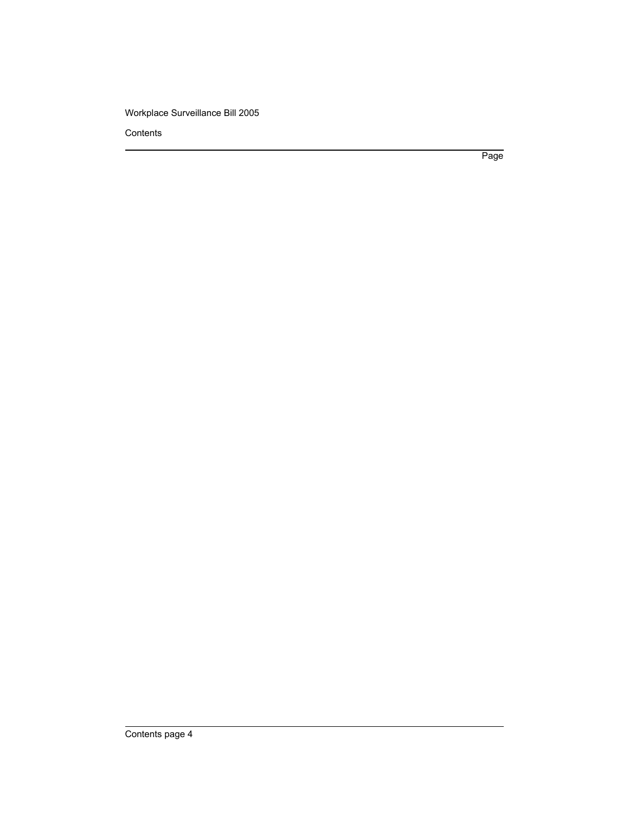**Contents** 

Page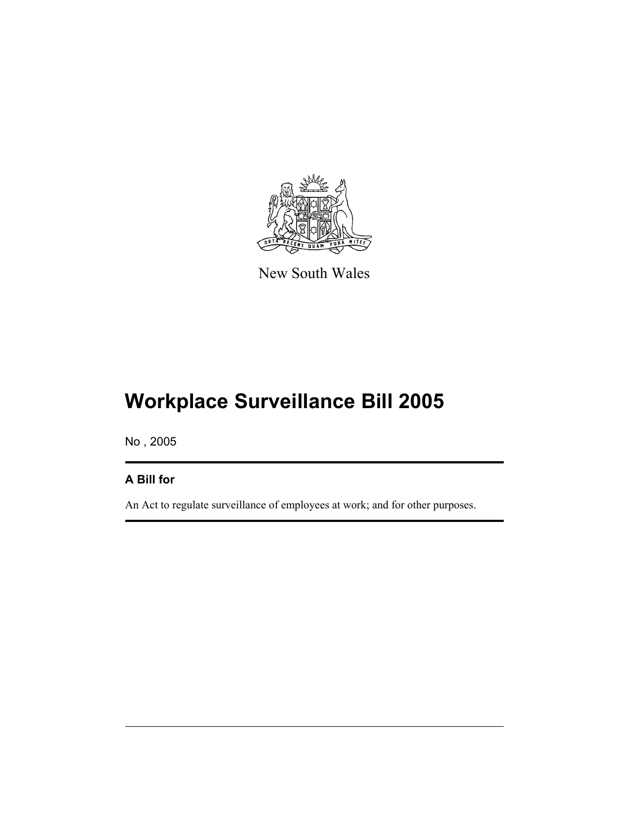

New South Wales

No , 2005

## **A Bill for**

An Act to regulate surveillance of employees at work; and for other purposes.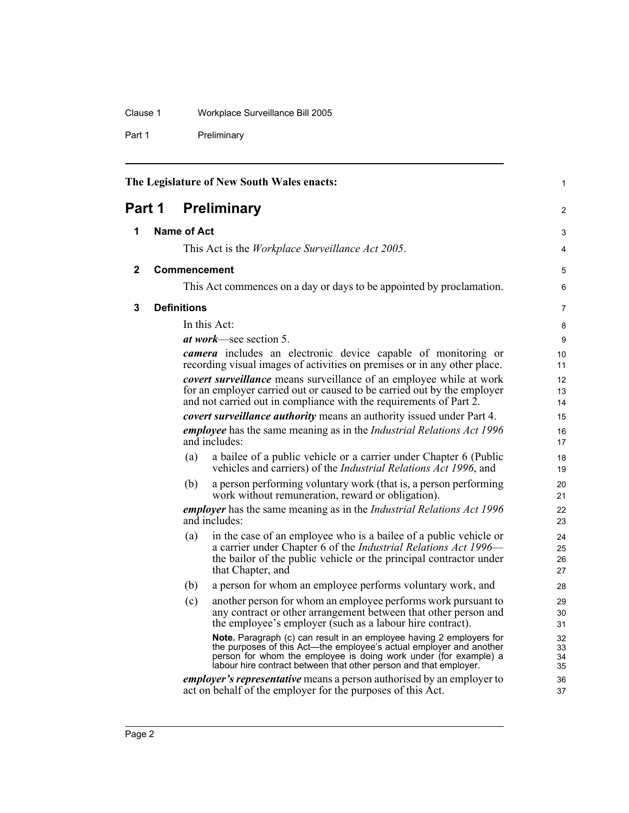## Clause 1 Workplace Surveillance Bill 2005

Part 1 Preliminary

<span id="page-11-2"></span><span id="page-11-1"></span><span id="page-11-0"></span>

| The Legislature of New South Wales enacts: |                                                                                                                                                                                                                         |                                                                                                                                                                                                                                                                                      | 1                     |  |
|--------------------------------------------|-------------------------------------------------------------------------------------------------------------------------------------------------------------------------------------------------------------------------|--------------------------------------------------------------------------------------------------------------------------------------------------------------------------------------------------------------------------------------------------------------------------------------|-----------------------|--|
| Part 1                                     |                                                                                                                                                                                                                         | <b>Preliminary</b>                                                                                                                                                                                                                                                                   | $\overline{c}$        |  |
| 1                                          |                                                                                                                                                                                                                         | <b>Name of Act</b>                                                                                                                                                                                                                                                                   | 3                     |  |
|                                            |                                                                                                                                                                                                                         | This Act is the <i>Workplace Surveillance Act 2005</i> .                                                                                                                                                                                                                             | 4                     |  |
| 2                                          |                                                                                                                                                                                                                         | <b>Commencement</b>                                                                                                                                                                                                                                                                  | 5                     |  |
|                                            |                                                                                                                                                                                                                         | This Act commences on a day or days to be appointed by proclamation.                                                                                                                                                                                                                 | 6                     |  |
| 3                                          | <b>Definitions</b>                                                                                                                                                                                                      |                                                                                                                                                                                                                                                                                      | $\overline{7}$        |  |
|                                            |                                                                                                                                                                                                                         | In this Act:                                                                                                                                                                                                                                                                         | 8                     |  |
|                                            |                                                                                                                                                                                                                         | <i>at work</i> —see section 5.                                                                                                                                                                                                                                                       | 9                     |  |
|                                            |                                                                                                                                                                                                                         | camera includes an electronic device capable of monitoring or<br>recording visual images of activities on premises or in any other place.                                                                                                                                            | 10 <sup>°</sup><br>11 |  |
|                                            | covert surveillance means surveillance of an employee while at work<br>for an employer carried out or caused to be carried out by the employer<br>and not carried out in compliance with the requirements of Part $2$ . |                                                                                                                                                                                                                                                                                      |                       |  |
|                                            |                                                                                                                                                                                                                         | covert surveillance authority means an authority issued under Part 4.                                                                                                                                                                                                                | 15                    |  |
|                                            |                                                                                                                                                                                                                         | <i>employee</i> has the same meaning as in the <i>Industrial Relations Act 1996</i><br>and includes:                                                                                                                                                                                 | 16<br>17              |  |
|                                            |                                                                                                                                                                                                                         | a bailee of a public vehicle or a carrier under Chapter 6 (Public<br>(a)<br>vehicles and carriers) of the <i>Industrial Relations Act 1996</i> , and                                                                                                                                 | 18<br>19              |  |
|                                            |                                                                                                                                                                                                                         | a person performing voluntary work (that is, a person performing<br>(b)<br>work without remuneration, reward or obligation).                                                                                                                                                         | 20<br>21              |  |
|                                            |                                                                                                                                                                                                                         | employer has the same meaning as in the Industrial Relations Act 1996<br>and includes:                                                                                                                                                                                               | 22<br>23              |  |
|                                            |                                                                                                                                                                                                                         | in the case of an employee who is a bailee of a public vehicle or<br>(a)<br>a carrier under Chapter 6 of the Industrial Relations Act 1996—<br>the bailor of the public vehicle or the principal contractor under<br>that Chapter, and                                               | 24<br>25<br>26<br>27  |  |
|                                            |                                                                                                                                                                                                                         | a person for whom an employee performs voluntary work, and<br>(b)                                                                                                                                                                                                                    | 28                    |  |
|                                            |                                                                                                                                                                                                                         | (c)<br>another person for whom an employee performs work pursuant to<br>any contract or other arrangement between that other person and<br>the employee's employer (such as a labour hire contract).                                                                                 | 29<br>30<br>31        |  |
|                                            |                                                                                                                                                                                                                         | Note. Paragraph (c) can result in an employee having 2 employers for<br>the purposes of this Act—the employee's actual employer and another<br>person for whom the employee is doing work under (for example) a<br>labour hire contract between that other person and that employer. | 32<br>33<br>34<br>35  |  |
|                                            |                                                                                                                                                                                                                         | employer's representative means a person authorised by an employer to<br>act on behalf of the employer for the purposes of this Act.                                                                                                                                                 | 36<br>37              |  |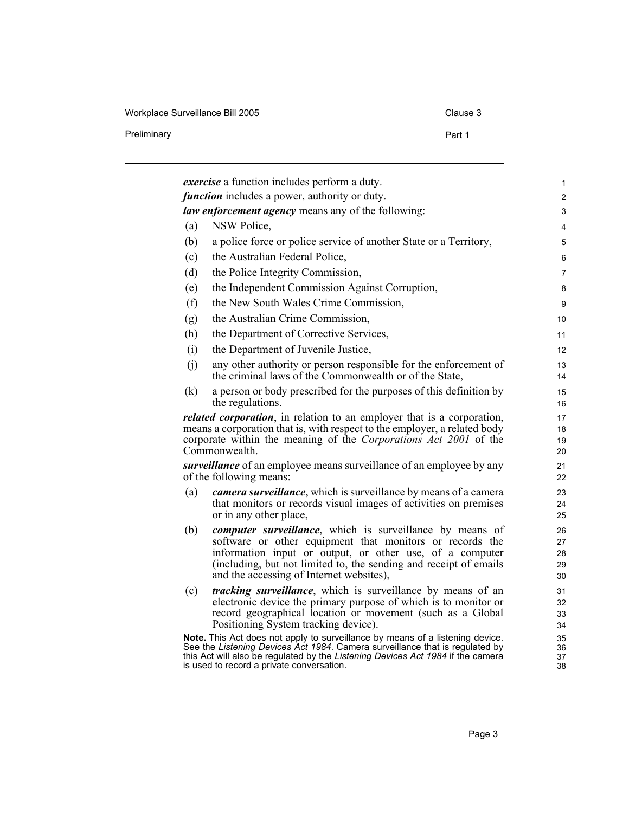Workplace Surveillance Bill 2005 Clause 3

Preliminary **Preliminary Part 1** 

|     | exercise a function includes perform a duty.                                                                                                                                                                                                                                                              |                            |
|-----|-----------------------------------------------------------------------------------------------------------------------------------------------------------------------------------------------------------------------------------------------------------------------------------------------------------|----------------------------|
|     | <i>function</i> includes a power, authority or duty.                                                                                                                                                                                                                                                      |                            |
|     | law enforcement agency means any of the following:                                                                                                                                                                                                                                                        |                            |
| (a) | NSW Police,                                                                                                                                                                                                                                                                                               |                            |
| (b) | a police force or police service of another State or a Territory,                                                                                                                                                                                                                                         |                            |
| (c) | the Australian Federal Police,                                                                                                                                                                                                                                                                            |                            |
| (d) | the Police Integrity Commission,                                                                                                                                                                                                                                                                          |                            |
| (e) | the Independent Commission Against Corruption,                                                                                                                                                                                                                                                            |                            |
| (f) | the New South Wales Crime Commission,                                                                                                                                                                                                                                                                     |                            |
| (g) | the Australian Crime Commission,                                                                                                                                                                                                                                                                          | 10                         |
| (h) | the Department of Corrective Services,                                                                                                                                                                                                                                                                    | 11                         |
| (i) | the Department of Juvenile Justice,                                                                                                                                                                                                                                                                       | 12                         |
| (i) | any other authority or person responsible for the enforcement of<br>the criminal laws of the Commonwealth or of the State,                                                                                                                                                                                | 13<br>14                   |
| (k) | a person or body prescribed for the purposes of this definition by<br>the regulations.                                                                                                                                                                                                                    | 15<br>16                   |
|     | <i>related corporation</i> , in relation to an employer that is a corporation,<br>means a corporation that is, with respect to the employer, a related body<br>corporate within the meaning of the Corporations Act 2001 of the<br>Commonwealth.                                                          | 17<br>18<br>19<br>20       |
|     | surveillance of an employee means surveillance of an employee by any<br>of the following means:                                                                                                                                                                                                           | 21<br>22                   |
| (a) | <i>camera surveillance</i> , which is surveillance by means of a camera<br>that monitors or records visual images of activities on premises<br>or in any other place,                                                                                                                                     | 23<br>24<br>25             |
| (b) | <i>computer surveillance</i> , which is surveillance by means of<br>software or other equipment that monitors or records the<br>information input or output, or other use, of a computer<br>(including, but not limited to, the sending and receipt of emails<br>and the accessing of Internet websites), | 26<br>27<br>28<br>29<br>30 |
| (c) | tracking surveillance, which is surveillance by means of an<br>electronic device the primary purpose of which is to monitor or<br>record geographical location or movement (such as a Global<br>Positioning System tracking device).                                                                      | 31<br>32<br>33<br>34       |
|     | Note. This Act does not apply to surveillance by means of a listening device.                                                                                                                                                                                                                             |                            |

See the *Listening Devices Act 1984*. Camera surveillance that is regulated by this Act will also be regulated by the *Listening Devices Act 1984* if the camera

is used to record a private conversation.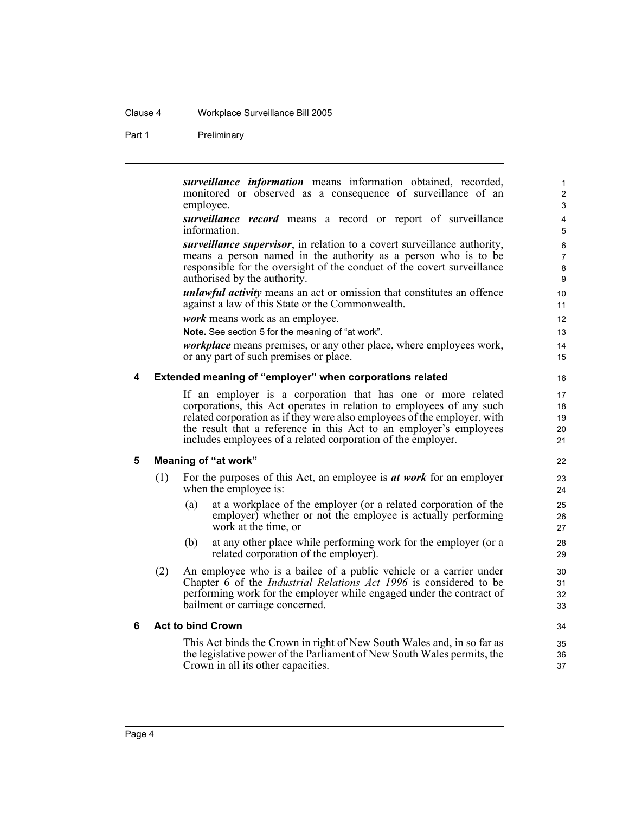#### Clause 4 Workplace Surveillance Bill 2005

#### Part 1 Preliminary

*surveillance information* means information obtained, recorded, monitored or observed as a consequence of surveillance of an employee.

*surveillance record* means a record or report of surveillance information.

*surveillance supervisor*, in relation to a covert surveillance authority, means a person named in the authority as a person who is to be responsible for the oversight of the conduct of the covert surveillance authorised by the authority.

*unlawful activity* means an act or omission that constitutes an offence against a law of this State or the Commonwealth.

*work* means work as an employee.

**Note.** See section 5 for the meaning of "at work".

*workplace* means premises, or any other place, where employees work, or any part of such premises or place.

#### <span id="page-13-0"></span>**4 Extended meaning of "employer" when corporations related**

If an employer is a corporation that has one or more related corporations, this Act operates in relation to employees of any such related corporation as if they were also employees of the employer, with the result that a reference in this Act to an employer's employees includes employees of a related corporation of the employer.

#### <span id="page-13-1"></span>**5 Meaning of "at work"**

- (1) For the purposes of this Act, an employee is *at work* for an employer when the employee is:
	- (a) at a workplace of the employer (or a related corporation of the employer) whether or not the employee is actually performing work at the time, or
	- (b) at any other place while performing work for the employer (or a related corporation of the employer).
- (2) An employee who is a bailee of a public vehicle or a carrier under Chapter 6 of the *Industrial Relations Act 1996* is considered to be performing work for the employer while engaged under the contract of bailment or carriage concerned.

#### <span id="page-13-2"></span>**6 Act to bind Crown**

This Act binds the Crown in right of New South Wales and, in so far as the legislative power of the Parliament of New South Wales permits, the Crown in all its other capacities.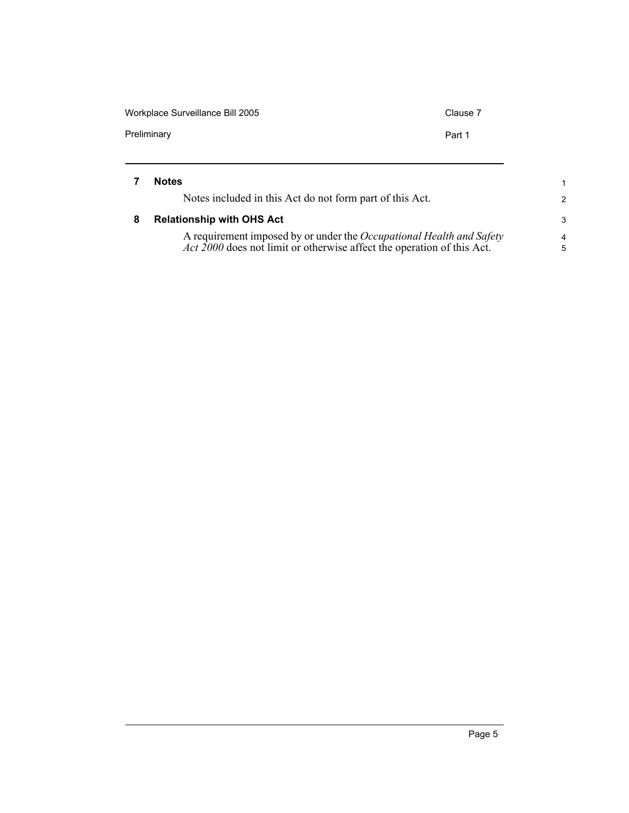|             | Workplace Surveillance Bill 2005                                         | Clause 7 |  |
|-------------|--------------------------------------------------------------------------|----------|--|
| Preliminary |                                                                          | Part 1   |  |
|             | <b>Notes</b><br>Notes included in this Act do not form part of this Act. |          |  |
|             |                                                                          |          |  |

#### <span id="page-14-1"></span><span id="page-14-0"></span>**8 Relationship with OHS Act**

A requirement imposed by or under the *Occupational Health and Safety Act 2000* does not limit or otherwise affect the operation of this Act.

1 2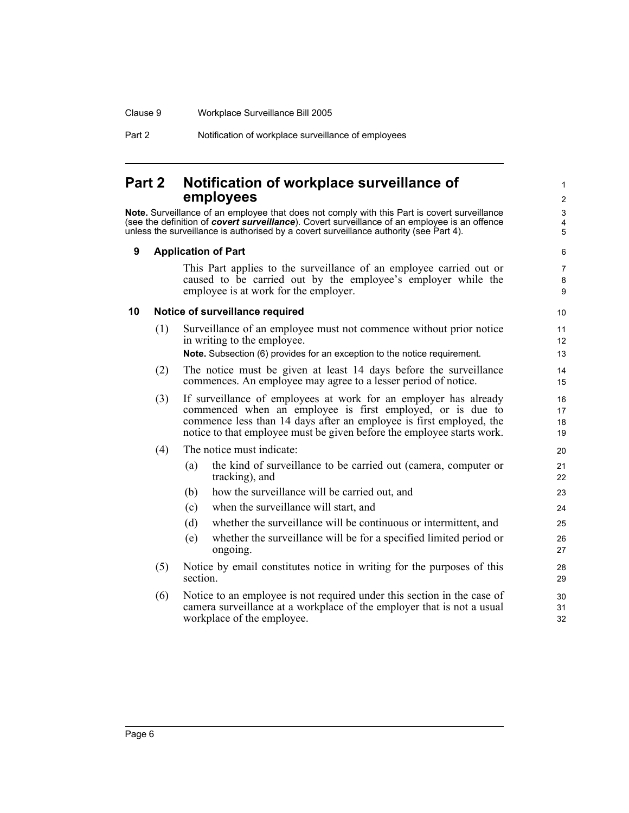Clause 9 Workplace Surveillance Bill 2005

Part 2 Notification of workplace surveillance of employees

## <span id="page-15-0"></span>**Part 2 Notification of workplace surveillance of employees**

**Note.** Surveillance of an employee that does not comply with this Part is covert surveillance (see the definition of *covert surveillance*). Covert surveillance of an employee is an offence unless the surveillance is authorised by a covert surveillance authority (see Part 4).

#### <span id="page-15-1"></span>**9 Application of Part**

This Part applies to the surveillance of an employee carried out or caused to be carried out by the employee's employer while the employee is at work for the employer.

#### <span id="page-15-2"></span>**10 Notice of surveillance required**

(1) Surveillance of an employee must not commence without prior notice in writing to the employee.

**Note.** Subsection (6) provides for an exception to the notice requirement.

- (2) The notice must be given at least 14 days before the surveillance commences. An employee may agree to a lesser period of notice.
- (3) If surveillance of employees at work for an employer has already commenced when an employee is first employed, or is due to commence less than 14 days after an employee is first employed, the notice to that employee must be given before the employee starts work.
- (4) The notice must indicate:
	- (a) the kind of surveillance to be carried out (camera, computer or tracking), and
	- (b) how the surveillance will be carried out, and
	- (c) when the surveillance will start, and
	- (d) whether the surveillance will be continuous or intermittent, and
	- (e) whether the surveillance will be for a specified limited period or ongoing.
- (5) Notice by email constitutes notice in writing for the purposes of this section.
- (6) Notice to an employee is not required under this section in the case of camera surveillance at a workplace of the employer that is not a usual workplace of the employee.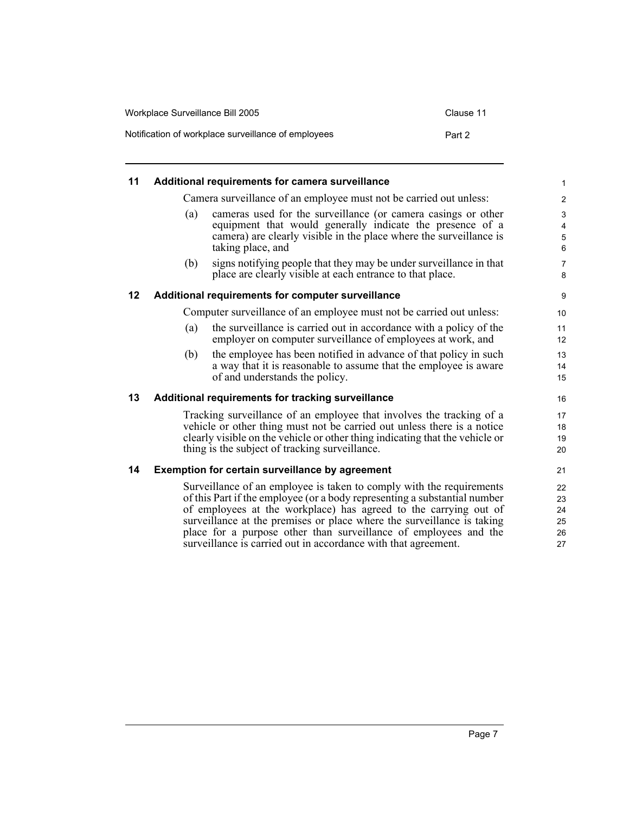| Workplace Surveillance Bill 2005                    | Clause 11 |
|-----------------------------------------------------|-----------|
| Notification of workplace surveillance of employees | Part 2    |

#### <span id="page-16-0"></span>**11 Additional requirements for camera surveillance**

Camera surveillance of an employee must not be carried out unless:

- (a) cameras used for the surveillance (or camera casings or other equipment that would generally indicate the presence of a camera) are clearly visible in the place where the surveillance is taking place, and
- (b) signs notifying people that they may be under surveillance in that place are clearly visible at each entrance to that place.

#### <span id="page-16-1"></span>**12 Additional requirements for computer surveillance**

Computer surveillance of an employee must not be carried out unless:

- (a) the surveillance is carried out in accordance with a policy of the employer on computer surveillance of employees at work, and
- (b) the employee has been notified in advance of that policy in such a way that it is reasonable to assume that the employee is aware of and understands the policy.

#### <span id="page-16-2"></span>**13 Additional requirements for tracking surveillance**

Tracking surveillance of an employee that involves the tracking of a vehicle or other thing must not be carried out unless there is a notice clearly visible on the vehicle or other thing indicating that the vehicle or thing is the subject of tracking surveillance.

#### <span id="page-16-3"></span>**14 Exemption for certain surveillance by agreement**

Surveillance of an employee is taken to comply with the requirements of this Part if the employee (or a body representing a substantial number of employees at the workplace) has agreed to the carrying out of surveillance at the premises or place where the surveillance is taking place for a purpose other than surveillance of employees and the surveillance is carried out in accordance with that agreement.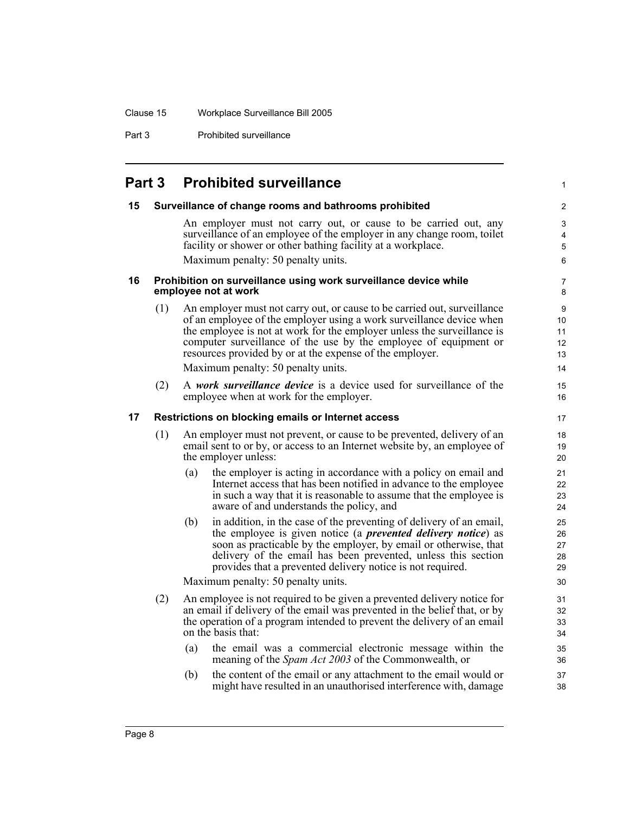Part 3 **Prohibited surveillance** 

## <span id="page-17-0"></span>**Part 3 Prohibited surveillance**

<span id="page-17-3"></span><span id="page-17-2"></span><span id="page-17-1"></span>

| 15 |     |     | Surveillance of change rooms and bathrooms prohibited                                                                                                                                                                                                                                                                                                                                             | $\overline{c}$                             |
|----|-----|-----|---------------------------------------------------------------------------------------------------------------------------------------------------------------------------------------------------------------------------------------------------------------------------------------------------------------------------------------------------------------------------------------------------|--------------------------------------------|
|    |     |     | An employer must not carry out, or cause to be carried out, any<br>surveillance of an employee of the employer in any change room, toilet<br>facility or shower or other bathing facility at a workplace.<br>Maximum penalty: 50 penalty units.                                                                                                                                                   | 3<br>$\overline{4}$<br>$\overline{5}$<br>6 |
| 16 |     |     | Prohibition on surveillance using work surveillance device while<br>employee not at work                                                                                                                                                                                                                                                                                                          | 7<br>8                                     |
|    | (1) |     | An employer must not carry out, or cause to be carried out, surveillance<br>of an employee of the employer using a work surveillance device when<br>the employee is not at work for the employer unless the surveillance is<br>computer surveillance of the use by the employee of equipment or<br>resources provided by or at the expense of the employer.<br>Maximum penalty: 50 penalty units. | 9<br>10<br>11<br>12<br>13<br>14            |
|    | (2) |     | A work surveillance device is a device used for surveillance of the<br>employee when at work for the employer.                                                                                                                                                                                                                                                                                    | 15<br>16                                   |
| 17 |     |     | Restrictions on blocking emails or Internet access                                                                                                                                                                                                                                                                                                                                                | 17                                         |
|    | (1) |     | An employer must not prevent, or cause to be prevented, delivery of an<br>email sent to or by, or access to an Internet website by, an employee of<br>the employer unless:                                                                                                                                                                                                                        | 18<br>19<br>20                             |
|    |     | (a) | the employer is acting in accordance with a policy on email and<br>Internet access that has been notified in advance to the employee<br>in such a way that it is reasonable to assume that the employee is<br>aware of and understands the policy, and                                                                                                                                            | 21<br>22<br>23<br>24                       |
|    |     | (b) | in addition, in the case of the preventing of delivery of an email,<br>the employee is given notice (a <i>prevented delivery notice</i> ) as<br>soon as practicable by the employer, by email or otherwise, that<br>delivery of the email has been prevented, unless this section<br>provides that a prevented delivery notice is not required.<br>Maximum penalty: 50 penalty units.             | 25<br>26<br>27<br>28<br>29<br>30           |
|    | (2) |     | An employee is not required to be given a prevented delivery notice for                                                                                                                                                                                                                                                                                                                           | 31                                         |
|    |     |     | an email if delivery of the email was prevented in the belief that, or by<br>the operation of a program intended to prevent the delivery of an email<br>on the basis that:                                                                                                                                                                                                                        | 32<br>33<br>34                             |
|    |     | (a) | the email was a commercial electronic message within the<br>meaning of the <i>Spam Act 2003</i> of the Commonwealth, or                                                                                                                                                                                                                                                                           | 35<br>36                                   |
|    |     | (b) | the content of the email or any attachment to the email would or<br>might have resulted in an unauthorised interference with, damage                                                                                                                                                                                                                                                              | 37<br>38                                   |
|    |     |     |                                                                                                                                                                                                                                                                                                                                                                                                   |                                            |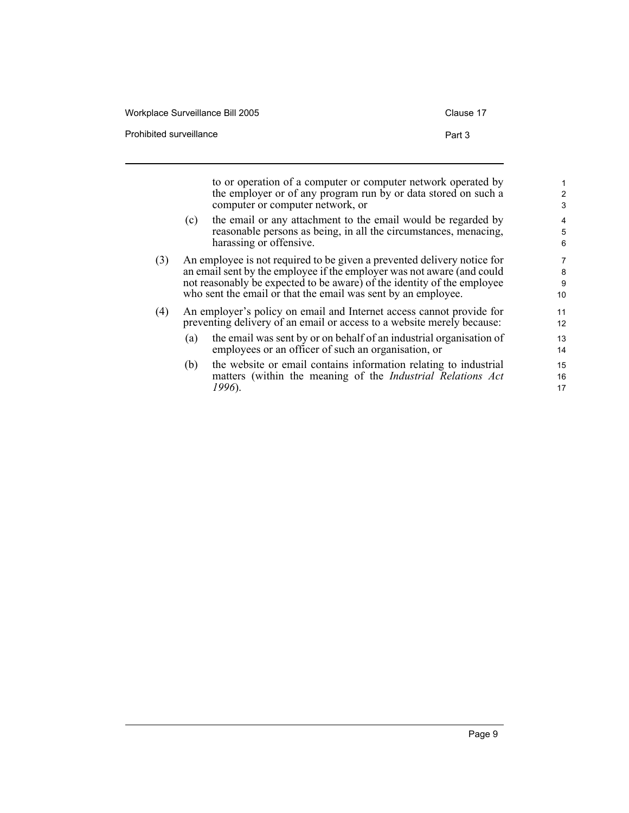| Workplace Surveillance Bill 2005 | Clause 17 |
|----------------------------------|-----------|
| Prohibited surveillance          | Part 3    |
|                                  |           |

to or operation of a computer or computer network operated by the employer or of any program run by or data stored on such a computer or computer network, or

- (c) the email or any attachment to the email would be regarded by reasonable persons as being, in all the circumstances, menacing, harassing or offensive.
- (3) An employee is not required to be given a prevented delivery notice for an email sent by the employee if the employer was not aware (and could not reasonably be expected to be aware) of the identity of the employee who sent the email or that the email was sent by an employee.
- (4) An employer's policy on email and Internet access cannot provide for preventing delivery of an email or access to a website merely because:
	- (a) the email was sent by or on behalf of an industrial organisation of employees or an officer of such an organisation, or
	- (b) the website or email contains information relating to industrial matters (within the meaning of the *Industrial Relations Act 1996*).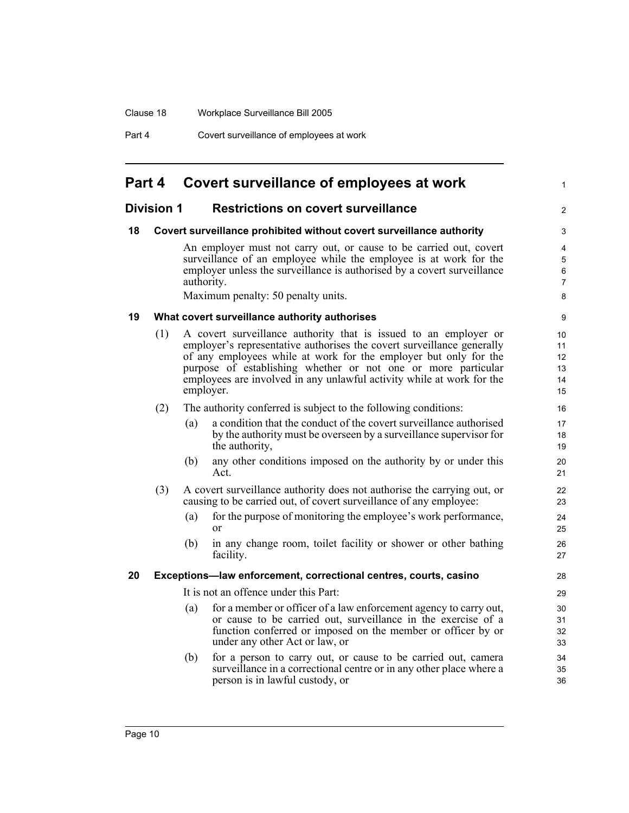Part 4 Covert surveillance of employees at work

## <span id="page-19-0"></span>**Part 4 Covert surveillance of employees at work**

#### <span id="page-19-1"></span>**Division 1 Restrictions on covert surveillance**

#### <span id="page-19-2"></span>**18 Covert surveillance prohibited without covert surveillance authority**

An employer must not carry out, or cause to be carried out, covert surveillance of an employee while the employee is at work for the employer unless the surveillance is authorised by a covert surveillance authority.

1

 $\mathfrak{p}$ 

Maximum penalty: 50 penalty units.

#### <span id="page-19-3"></span>**19 What covert surveillance authority authorises**

- (1) A covert surveillance authority that is issued to an employer or employer's representative authorises the covert surveillance generally of any employees while at work for the employer but only for the purpose of establishing whether or not one or more particular employees are involved in any unlawful activity while at work for the employer.
- (2) The authority conferred is subject to the following conditions:
	- (a) a condition that the conduct of the covert surveillance authorised by the authority must be overseen by a surveillance supervisor for the authority,
	- (b) any other conditions imposed on the authority by or under this Act.

#### (3) A covert surveillance authority does not authorise the carrying out, or causing to be carried out, of covert surveillance of any employee:

- (a) for the purpose of monitoring the employee's work performance, or
- (b) in any change room, toilet facility or shower or other bathing facility.

#### <span id="page-19-4"></span>**20 Exceptions—law enforcement, correctional centres, courts, casino**

It is not an offence under this Part:

- (a) for a member or officer of a law enforcement agency to carry out, or cause to be carried out, surveillance in the exercise of a function conferred or imposed on the member or officer by or under any other Act or law, or
- (b) for a person to carry out, or cause to be carried out, camera surveillance in a correctional centre or in any other place where a person is in lawful custody, or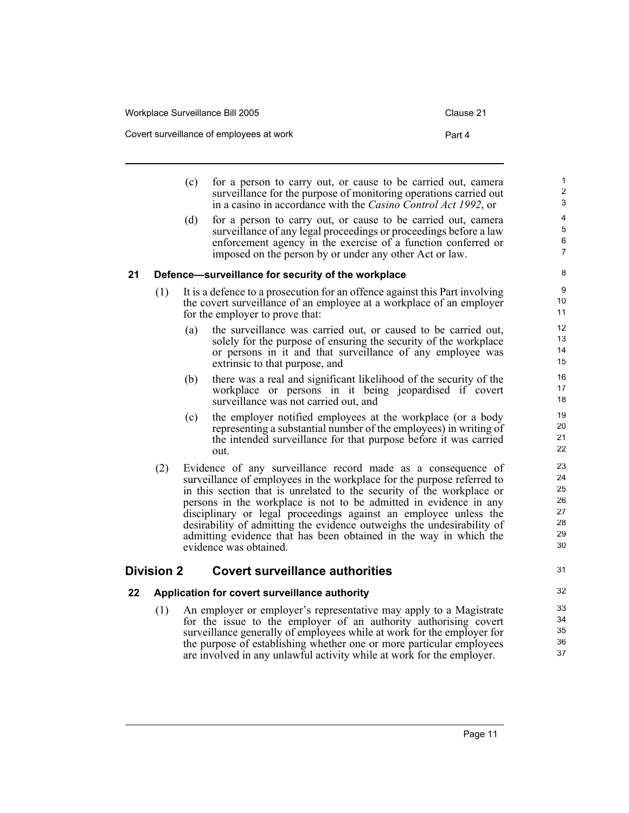Covert surveillance of employees at work example of the Part 4 (c) for a person to carry out, or cause to be carried out, camera surveillance for the purpose of monitoring operations carried out

> (d) for a person to carry out, or cause to be carried out, camera surveillance of any legal proceedings or proceedings before a law enforcement agency in the exercise of a function conferred or imposed on the person by or under any other Act or law.

in a casino in accordance with the *Casino Control Act 1992*, or

#### <span id="page-20-0"></span>**21 Defence—surveillance for security of the workplace**

- (1) It is a defence to a prosecution for an offence against this Part involving the covert surveillance of an employee at a workplace of an employer for the employer to prove that:
	- (a) the surveillance was carried out, or caused to be carried out, solely for the purpose of ensuring the security of the workplace or persons in it and that surveillance of any employee was extrinsic to that purpose, and
	- (b) there was a real and significant likelihood of the security of the workplace or persons in it being jeopardised if covert surveillance was not carried out, and
	- (c) the employer notified employees at the workplace (or a body representing a substantial number of the employees) in writing of the intended surveillance for that purpose before it was carried out.
- (2) Evidence of any surveillance record made as a consequence of surveillance of employees in the workplace for the purpose referred to in this section that is unrelated to the security of the workplace or persons in the workplace is not to be admitted in evidence in any disciplinary or legal proceedings against an employee unless the desirability of admitting the evidence outweighs the undesirability of admitting evidence that has been obtained in the way in which the evidence was obtained.

#### <span id="page-20-2"></span><span id="page-20-1"></span>**Division 2 Covert surveillance authorities**

#### **22 Application for covert surveillance authority**

(1) An employer or employer's representative may apply to a Magistrate for the issue to the employer of an authority authorising covert surveillance generally of employees while at work for the employer for the purpose of establishing whether one or more particular employees are involved in any unlawful activity while at work for the employer.

#### Workplace Surveillance Bill 2005 Clause 21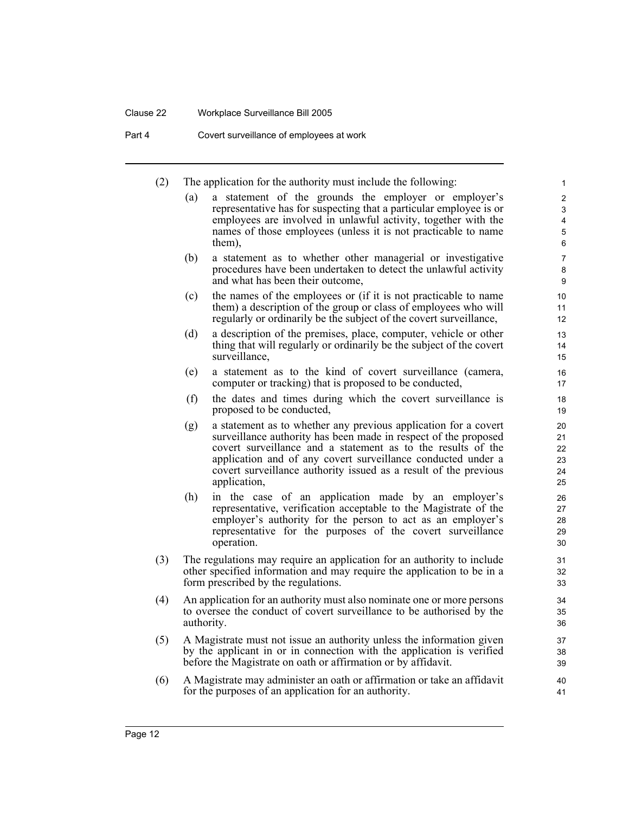#### Clause 22 Workplace Surveillance Bill 2005

Part 4 Covert surveillance of employees at work

| (2) |     | The application for the authority must include the following:                                                                                                                                                                                                                                                                                          | $\mathbf{1}$                       |
|-----|-----|--------------------------------------------------------------------------------------------------------------------------------------------------------------------------------------------------------------------------------------------------------------------------------------------------------------------------------------------------------|------------------------------------|
|     | (a) | a statement of the grounds the employer or employer's<br>representative has for suspecting that a particular employee is or<br>employees are involved in unlawful activity, together with the<br>names of those employees (unless it is not practicable to name<br>them),                                                                              | $\overline{c}$<br>3<br>4<br>5<br>6 |
|     | (b) | a statement as to whether other managerial or investigative<br>procedures have been undertaken to detect the unlawful activity<br>and what has been their outcome,                                                                                                                                                                                     | $\overline{7}$<br>8<br>9           |
|     | (c) | the names of the employees or (if it is not practicable to name<br>them) a description of the group or class of employees who will<br>regularly or ordinarily be the subject of the covert surveillance,                                                                                                                                               | 10<br>11<br>12 <sup>2</sup>        |
|     | (d) | a description of the premises, place, computer, vehicle or other<br>thing that will regularly or ordinarily be the subject of the covert<br>surveillance,                                                                                                                                                                                              | 13<br>14<br>15                     |
|     | (e) | a statement as to the kind of covert surveillance (camera,<br>computer or tracking) that is proposed to be conducted,                                                                                                                                                                                                                                  | 16<br>17                           |
|     | (f) | the dates and times during which the covert surveillance is<br>proposed to be conducted,                                                                                                                                                                                                                                                               | 18<br>19                           |
|     | (g) | a statement as to whether any previous application for a covert<br>surveillance authority has been made in respect of the proposed<br>covert surveillance and a statement as to the results of the<br>application and of any covert surveillance conducted under a<br>covert surveillance authority issued as a result of the previous<br>application, | 20<br>21<br>22<br>23<br>24<br>25   |
|     | (h) | in the case of an application made by an employer's<br>representative, verification acceptable to the Magistrate of the<br>employer's authority for the person to act as an employer's<br>representative for the purposes of the covert surveillance<br>operation.                                                                                     | 26<br>27<br>28<br>29<br>30         |
| (3) |     | The regulations may require an application for an authority to include<br>other specified information and may require the application to be in a<br>form prescribed by the regulations.                                                                                                                                                                | 31<br>32<br>33                     |
| (4) |     | An application for an authority must also nominate one or more persons<br>to oversee the conduct of covert surveillance to be authorised by the<br>authority.                                                                                                                                                                                          | 34<br>35<br>36                     |
| (5) |     | A Magistrate must not issue an authority unless the information given<br>by the applicant in or in connection with the application is verified<br>before the Magistrate on oath or affirmation or by affidavit.                                                                                                                                        | 37<br>38<br>39                     |
| (6) |     | A Magistrate may administer an oath or affirmation or take an affidavit<br>for the purposes of an application for an authority.                                                                                                                                                                                                                        | 40<br>41                           |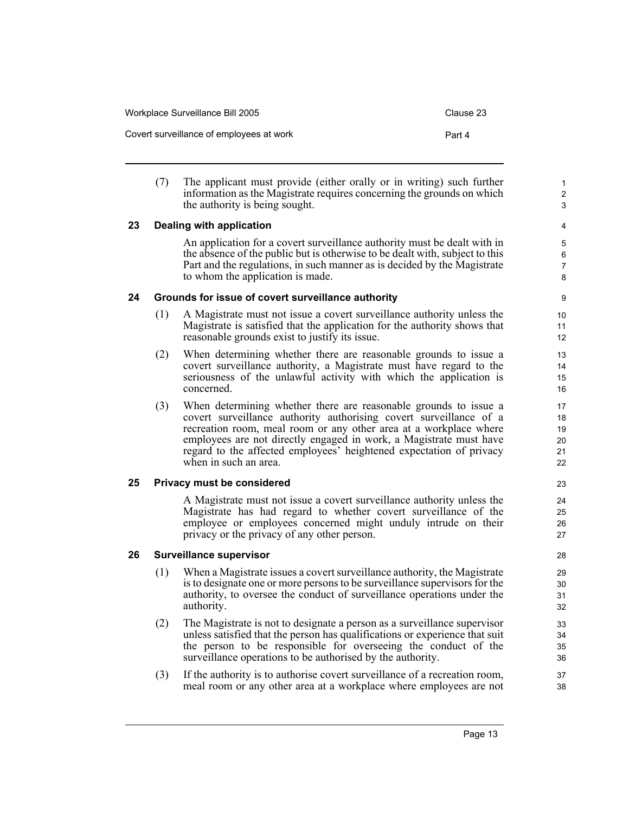| Workplace Surveillance Bill 2005         | Clause 23 |
|------------------------------------------|-----------|
| Covert surveillance of employees at work | Part 4    |

(7) The applicant must provide (either orally or in writing) such further information as the Magistrate requires concerning the grounds on which the authority is being sought.

#### <span id="page-22-0"></span>**23 Dealing with application**

An application for a covert surveillance authority must be dealt with in the absence of the public but is otherwise to be dealt with, subject to this Part and the regulations, in such manner as is decided by the Magistrate to whom the application is made.

#### <span id="page-22-1"></span>**24 Grounds for issue of covert surveillance authority**

- (1) A Magistrate must not issue a covert surveillance authority unless the Magistrate is satisfied that the application for the authority shows that reasonable grounds exist to justify its issue.
- (2) When determining whether there are reasonable grounds to issue a covert surveillance authority, a Magistrate must have regard to the seriousness of the unlawful activity with which the application is concerned.
- (3) When determining whether there are reasonable grounds to issue a covert surveillance authority authorising covert surveillance of a recreation room, meal room or any other area at a workplace where employees are not directly engaged in work, a Magistrate must have regard to the affected employees' heightened expectation of privacy when in such an area.

#### <span id="page-22-2"></span>**25 Privacy must be considered**

A Magistrate must not issue a covert surveillance authority unless the Magistrate has had regard to whether covert surveillance of the employee or employees concerned might unduly intrude on their privacy or the privacy of any other person.

#### <span id="page-22-3"></span>**26 Surveillance supervisor**

- (1) When a Magistrate issues a covert surveillance authority, the Magistrate is to designate one or more persons to be surveillance supervisors for the authority, to oversee the conduct of surveillance operations under the authority.
- (2) The Magistrate is not to designate a person as a surveillance supervisor unless satisfied that the person has qualifications or experience that suit the person to be responsible for overseeing the conduct of the surveillance operations to be authorised by the authority.
- (3) If the authority is to authorise covert surveillance of a recreation room, meal room or any other area at a workplace where employees are not

1  $\mathfrak{p}$ 3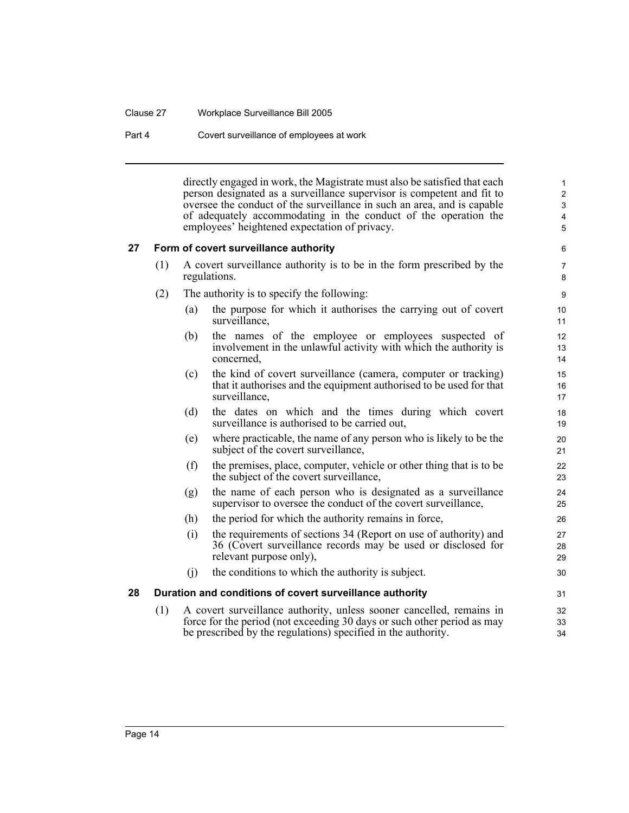#### Clause 27 Workplace Surveillance Bill 2005

Part 4 Covert surveillance of employees at work

directly engaged in work, the Magistrate must also be satisfied that each person designated as a surveillance supervisor is competent and fit to oversee the conduct of the surveillance in such an area, and is capable of adequately accommodating in the conduct of the operation the employees' heightened expectation of privacy.

#### <span id="page-23-0"></span>**27 Form of covert surveillance authority**

- (1) A covert surveillance authority is to be in the form prescribed by the regulations.
- (2) The authority is to specify the following:
	- (a) the purpose for which it authorises the carrying out of covert surveillance,
	- (b) the names of the employee or employees suspected of involvement in the unlawful activity with which the authority is concerned,
	- (c) the kind of covert surveillance (camera, computer or tracking) that it authorises and the equipment authorised to be used for that surveillance,
	- (d) the dates on which and the times during which covert surveillance is authorised to be carried out,
	- (e) where practicable, the name of any person who is likely to be the subject of the covert surveillance,
	- (f) the premises, place, computer, vehicle or other thing that is to be the subject of the covert surveillance,
	- (g) the name of each person who is designated as a surveillance supervisor to oversee the conduct of the covert surveillance,
	- (h) the period for which the authority remains in force,
	- (i) the requirements of sections 34 (Report on use of authority) and 36 (Covert surveillance records may be used or disclosed for relevant purpose only),
	- (j) the conditions to which the authority is subject.

#### <span id="page-23-1"></span>**28 Duration and conditions of covert surveillance authority**

(1) A covert surveillance authority, unless sooner cancelled, remains in force for the period (not exceeding 30 days or such other period as may be prescribed by the regulations) specified in the authority.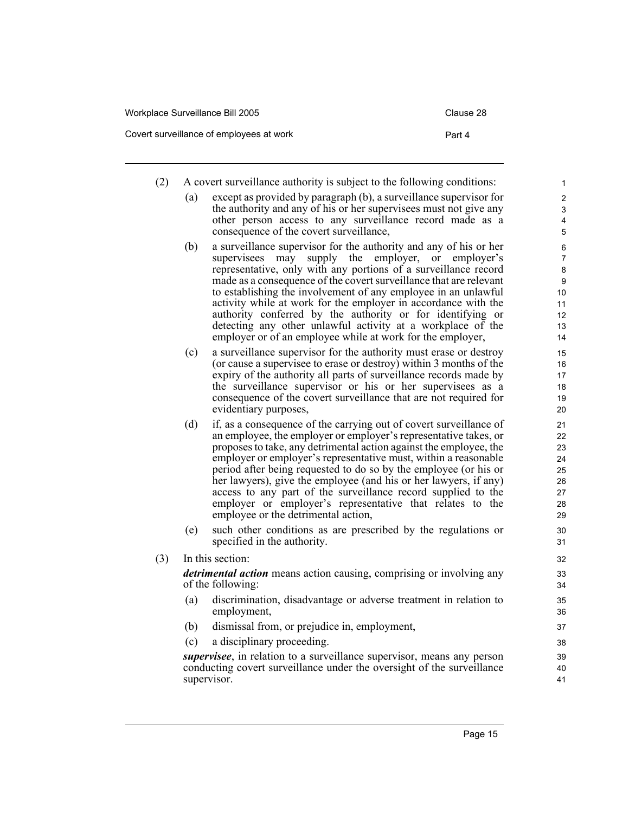| Workplace Surveillance Bill 2005         | Clause 28 |
|------------------------------------------|-----------|
| Covert surveillance of employees at work | Part 4    |

- (2) A covert surveillance authority is subject to the following conditions:
	- (a) except as provided by paragraph (b), a surveillance supervisor for the authority and any of his or her supervisees must not give any other person access to any surveillance record made as a consequence of the covert surveillance,
	- (b) a surveillance supervisor for the authority and any of his or her supervisees may supply the employer, or employer's representative, only with any portions of a surveillance record made as a consequence of the covert surveillance that are relevant to establishing the involvement of any employee in an unlawful activity while at work for the employer in accordance with the authority conferred by the authority or for identifying or detecting any other unlawful activity at a workplace of the employer or of an employee while at work for the employer,
	- (c) a surveillance supervisor for the authority must erase or destroy (or cause a supervisee to erase or destroy) within 3 months of the expiry of the authority all parts of surveillance records made by the surveillance supervisor or his or her supervisees as a consequence of the covert surveillance that are not required for evidentiary purposes,
	- (d) if, as a consequence of the carrying out of covert surveillance of an employee, the employer or employer's representative takes, or proposes to take, any detrimental action against the employee, the employer or employer's representative must, within a reasonable period after being requested to do so by the employee (or his or her lawyers), give the employee (and his or her lawyers, if any) access to any part of the surveillance record supplied to the employer or employer's representative that relates to the employee or the detrimental action,
	- (e) such other conditions as are prescribed by the regulations or specified in the authority.
- (3) In this section:

*detrimental action* means action causing, comprising or involving any of the following:

- (a) discrimination, disadvantage or adverse treatment in relation to employment,
- (b) dismissal from, or prejudice in, employment,
- (c) a disciplinary proceeding.

*supervisee*, in relation to a surveillance supervisor, means any person conducting covert surveillance under the oversight of the surveillance supervisor.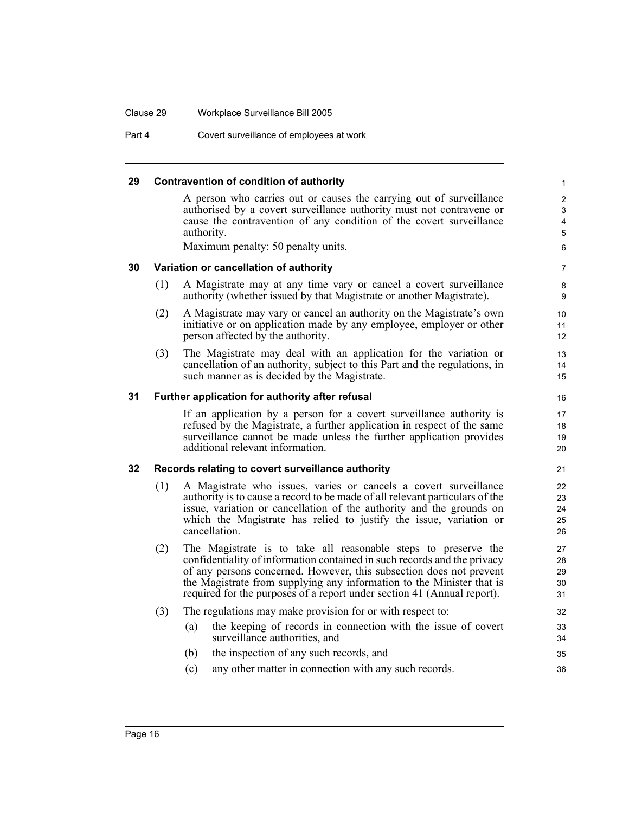#### Clause 29 Workplace Surveillance Bill 2005

Part 4 Covert surveillance of employees at work

#### <span id="page-25-0"></span>**29 Contravention of condition of authority**

A person who carries out or causes the carrying out of surveillance authorised by a covert surveillance authority must not contravene or cause the contravention of any condition of the covert surveillance authority.

Maximum penalty: 50 penalty units.

#### <span id="page-25-1"></span>**30 Variation or cancellation of authority**

- (1) A Magistrate may at any time vary or cancel a covert surveillance authority (whether issued by that Magistrate or another Magistrate).
- (2) A Magistrate may vary or cancel an authority on the Magistrate's own initiative or on application made by any employee, employer or other person affected by the authority.
- (3) The Magistrate may deal with an application for the variation or cancellation of an authority, subject to this Part and the regulations, in such manner as is decided by the Magistrate.

#### <span id="page-25-2"></span>**31 Further application for authority after refusal**

If an application by a person for a covert surveillance authority is refused by the Magistrate, a further application in respect of the same surveillance cannot be made unless the further application provides additional relevant information.

#### <span id="page-25-3"></span>**32 Records relating to covert surveillance authority**

- (1) A Magistrate who issues, varies or cancels a covert surveillance authority is to cause a record to be made of all relevant particulars of the issue, variation or cancellation of the authority and the grounds on which the Magistrate has relied to justify the issue, variation or cancellation.
- (2) The Magistrate is to take all reasonable steps to preserve the confidentiality of information contained in such records and the privacy of any persons concerned. However, this subsection does not prevent the Magistrate from supplying any information to the Minister that is required for the purposes of a report under section 41 (Annual report).
- (3) The regulations may make provision for or with respect to:
	- (a) the keeping of records in connection with the issue of covert surveillance authorities, and
	- (b) the inspection of any such records, and
	- (c) any other matter in connection with any such records.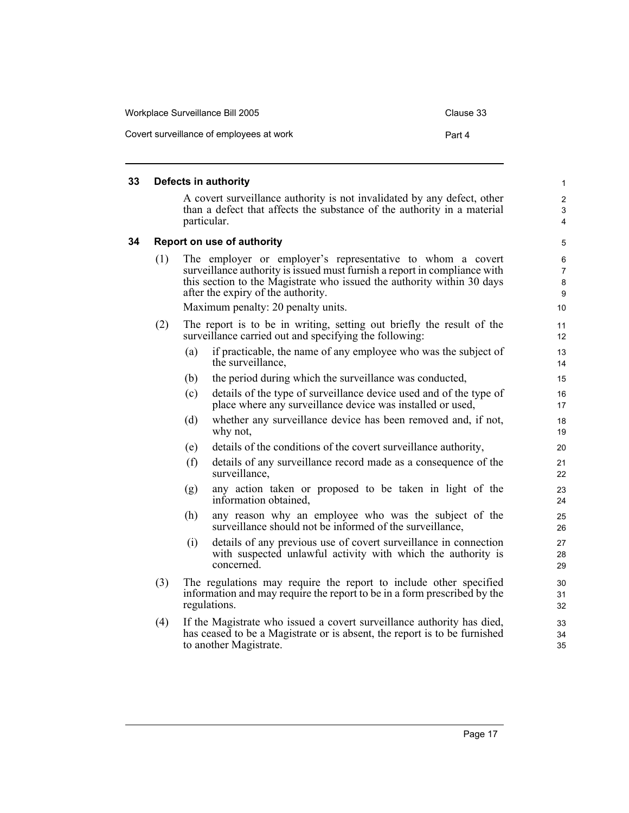| Workplace Surveillance Bill 2005         | Clause 33 |
|------------------------------------------|-----------|
| Covert surveillance of employees at work | Part 4    |

#### <span id="page-26-0"></span>**33 Defects in authority**

A covert surveillance authority is not invalidated by any defect, other than a defect that affects the substance of the authority in a material particular.

#### <span id="page-26-1"></span>**34 Report on use of authority**

| (1) | The employer or employer's representative to whom a covert                                                                                                                                |
|-----|-------------------------------------------------------------------------------------------------------------------------------------------------------------------------------------------|
|     | surveillance authority is issued must furnish a report in compliance with<br>this section to the Magistrate who issued the authority within 30 days<br>after the expiry of the authority. |

Maximum penalty: 20 penalty units.

- (2) The report is to be in writing, setting out briefly the result of the surveillance carried out and specifying the following:
	- (a) if practicable, the name of any employee who was the subject of the surveillance,
	- (b) the period during which the surveillance was conducted,
	- (c) details of the type of surveillance device used and of the type of place where any surveillance device was installed or used,
	- (d) whether any surveillance device has been removed and, if not, why not,
	- (e) details of the conditions of the covert surveillance authority,
	- (f) details of any surveillance record made as a consequence of the surveillance,
	- (g) any action taken or proposed to be taken in light of the information obtained,
	- (h) any reason why an employee who was the subject of the surveillance should not be informed of the surveillance,
	- (i) details of any previous use of covert surveillance in connection with suspected unlawful activity with which the authority is concerned.
- (3) The regulations may require the report to include other specified information and may require the report to be in a form prescribed by the regulations.
- (4) If the Magistrate who issued a covert surveillance authority has died, has ceased to be a Magistrate or is absent, the report is to be furnished to another Magistrate.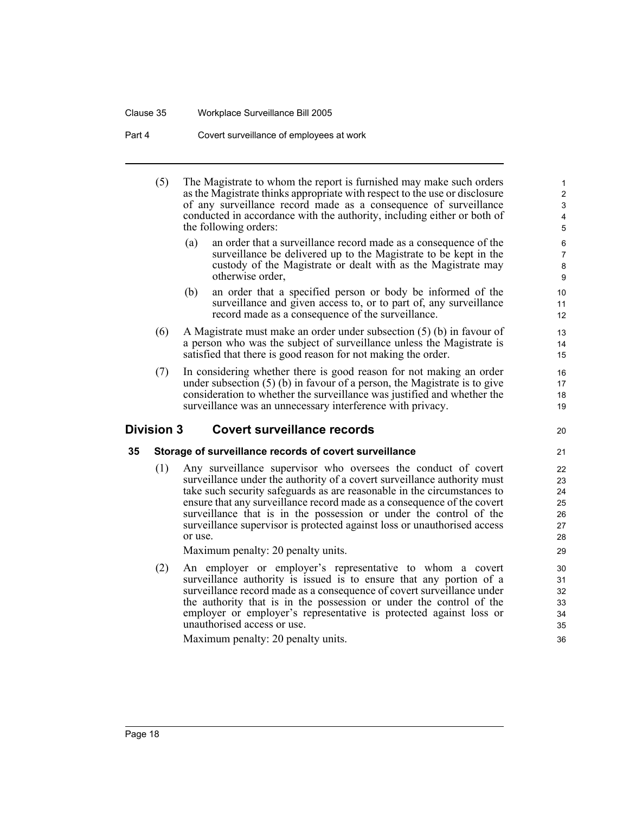#### Clause 35 Workplace Surveillance Bill 2005

Part 4 Covert surveillance of employees at work

- (5) The Magistrate to whom the report is furnished may make such orders as the Magistrate thinks appropriate with respect to the use or disclosure of any surveillance record made as a consequence of surveillance conducted in accordance with the authority, including either or both of the following orders:
	- (a) an order that a surveillance record made as a consequence of the surveillance be delivered up to the Magistrate to be kept in the custody of the Magistrate or dealt with as the Magistrate may otherwise order,

20

- (b) an order that a specified person or body be informed of the surveillance and given access to, or to part of, any surveillance record made as a consequence of the surveillance.
- (6) A Magistrate must make an order under subsection (5) (b) in favour of a person who was the subject of surveillance unless the Magistrate is satisfied that there is good reason for not making the order.
- (7) In considering whether there is good reason for not making an order under subsection (5) (b) in favour of a person, the Magistrate is to give consideration to whether the surveillance was justified and whether the surveillance was an unnecessary interference with privacy.

#### <span id="page-27-0"></span>**Division 3 Covert surveillance records**

#### <span id="page-27-1"></span>**35 Storage of surveillance records of covert surveillance**

(1) Any surveillance supervisor who oversees the conduct of covert surveillance under the authority of a covert surveillance authority must take such security safeguards as are reasonable in the circumstances to ensure that any surveillance record made as a consequence of the covert surveillance that is in the possession or under the control of the surveillance supervisor is protected against loss or unauthorised access or use.

Maximum penalty: 20 penalty units.

(2) An employer or employer's representative to whom a covert surveillance authority is issued is to ensure that any portion of a surveillance record made as a consequence of covert surveillance under the authority that is in the possession or under the control of the employer or employer's representative is protected against loss or unauthorised access or use.

Maximum penalty: 20 penalty units.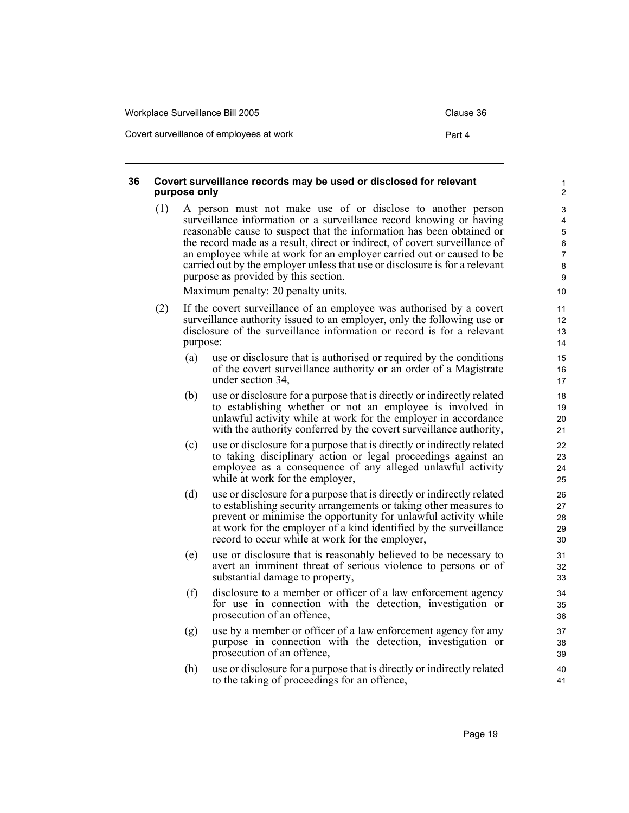| Workplace Surveillance Bill 2005         | Clause 36 |
|------------------------------------------|-----------|
| Covert surveillance of employees at work | Part 4    |

#### <span id="page-28-0"></span>**36 Covert surveillance records may be used or disclosed for relevant purpose only**

(1) A person must not make use of or disclose to another person surveillance information or a surveillance record knowing or having reasonable cause to suspect that the information has been obtained or the record made as a result, direct or indirect, of covert surveillance of an employee while at work for an employer carried out or caused to be carried out by the employer unless that use or disclosure is for a relevant purpose as provided by this section.

Maximum penalty: 20 penalty units.

- (2) If the covert surveillance of an employee was authorised by a covert surveillance authority issued to an employer, only the following use or disclosure of the surveillance information or record is for a relevant purpose:
	- (a) use or disclosure that is authorised or required by the conditions of the covert surveillance authority or an order of a Magistrate under section 34,
	- (b) use or disclosure for a purpose that is directly or indirectly related to establishing whether or not an employee is involved in unlawful activity while at work for the employer in accordance with the authority conferred by the covert surveillance authority,
	- (c) use or disclosure for a purpose that is directly or indirectly related to taking disciplinary action or legal proceedings against an employee as a consequence of any alleged unlawful activity while at work for the employer,
	- (d) use or disclosure for a purpose that is directly or indirectly related to establishing security arrangements or taking other measures to prevent or minimise the opportunity for unlawful activity while at work for the employer of a kind identified by the surveillance record to occur while at work for the employer,
	- (e) use or disclosure that is reasonably believed to be necessary to avert an imminent threat of serious violence to persons or of substantial damage to property,
	- (f) disclosure to a member or officer of a law enforcement agency for use in connection with the detection, investigation or prosecution of an offence,
	- (g) use by a member or officer of a law enforcement agency for any purpose in connection with the detection, investigation or prosecution of an offence,
	- (h) use or disclosure for a purpose that is directly or indirectly related to the taking of proceedings for an offence,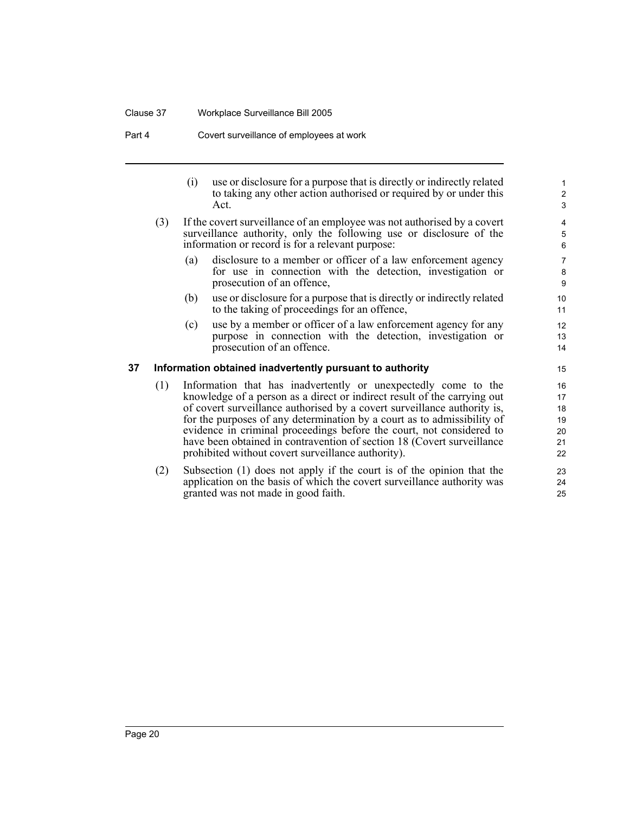#### Clause 37 Workplace Surveillance Bill 2005

Part 4 Covert surveillance of employees at work

(i) use or disclosure for a purpose that is directly or indirectly related to taking any other action authorised or required by or under this Act.

- (3) If the covert surveillance of an employee was not authorised by a covert surveillance authority, only the following use or disclosure of the information or record is for a relevant purpose:
	- (a) disclosure to a member or officer of a law enforcement agency for use in connection with the detection, investigation or prosecution of an offence,
	- (b) use or disclosure for a purpose that is directly or indirectly related to the taking of proceedings for an offence,
	- (c) use by a member or officer of a law enforcement agency for any purpose in connection with the detection, investigation or prosecution of an offence.

#### <span id="page-29-0"></span>**37 Information obtained inadvertently pursuant to authority**

- (1) Information that has inadvertently or unexpectedly come to the knowledge of a person as a direct or indirect result of the carrying out of covert surveillance authorised by a covert surveillance authority is, for the purposes of any determination by a court as to admissibility of evidence in criminal proceedings before the court, not considered to have been obtained in contravention of section 18 (Covert surveillance prohibited without covert surveillance authority).
- (2) Subsection (1) does not apply if the court is of the opinion that the application on the basis of which the covert surveillance authority was granted was not made in good faith.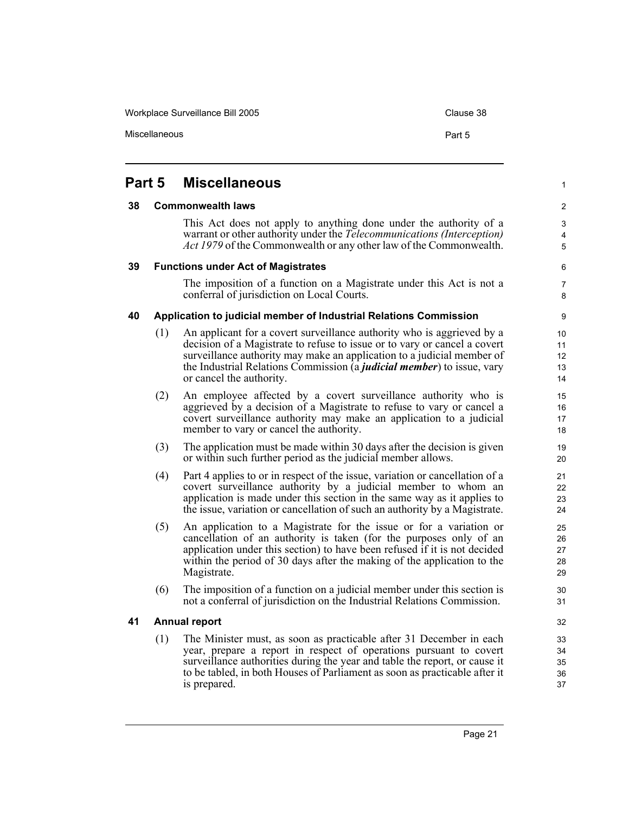Workplace Surveillance Bill 2005 Clause 38

<span id="page-30-4"></span><span id="page-30-3"></span><span id="page-30-2"></span><span id="page-30-1"></span><span id="page-30-0"></span>**Part 5 Miscellaneous 38 Commonwealth laws** This Act does not apply to anything done under the authority of a warrant or other authority under the *Telecommunications (Interception) Act 1979* of the Commonwealth or any other law of the Commonwealth. **39 Functions under Act of Magistrates** The imposition of a function on a Magistrate under this Act is not a conferral of jurisdiction on Local Courts. **40 Application to judicial member of Industrial Relations Commission** (1) An applicant for a covert surveillance authority who is aggrieved by a decision of a Magistrate to refuse to issue or to vary or cancel a covert surveillance authority may make an application to a judicial member of the Industrial Relations Commission (a *judicial member*) to issue, vary or cancel the authority. (2) An employee affected by a covert surveillance authority who is aggrieved by a decision of a Magistrate to refuse to vary or cancel a covert surveillance authority may make an application to a judicial member to vary or cancel the authority. (3) The application must be made within 30 days after the decision is given or within such further period as the judicial member allows. (4) Part 4 applies to or in respect of the issue, variation or cancellation of a covert surveillance authority by a judicial member to whom an application is made under this section in the same way as it applies to the issue, variation or cancellation of such an authority by a Magistrate. (5) An application to a Magistrate for the issue or for a variation or cancellation of an authority is taken (for the purposes only of an application under this section) to have been refused if it is not decided within the period of 30 days after the making of the application to the Magistrate. (6) The imposition of a function on a judicial member under this section is not a conferral of jurisdiction on the Industrial Relations Commission. **41 Annual report** (1) The Minister must, as soon as practicable after 31 December in each year, prepare a report in respect of operations pursuant to covert surveillance authorities during the year and table the report, or cause it to be tabled, in both Houses of Parliament as soon as practicable after it is prepared. 1 2 3 4 5 6 7 8 9 10 11 12 13 14 15 16 17 18 19 20 21 22 23 24 25 26 27 28 29 30 31 32 33 34 35 36 37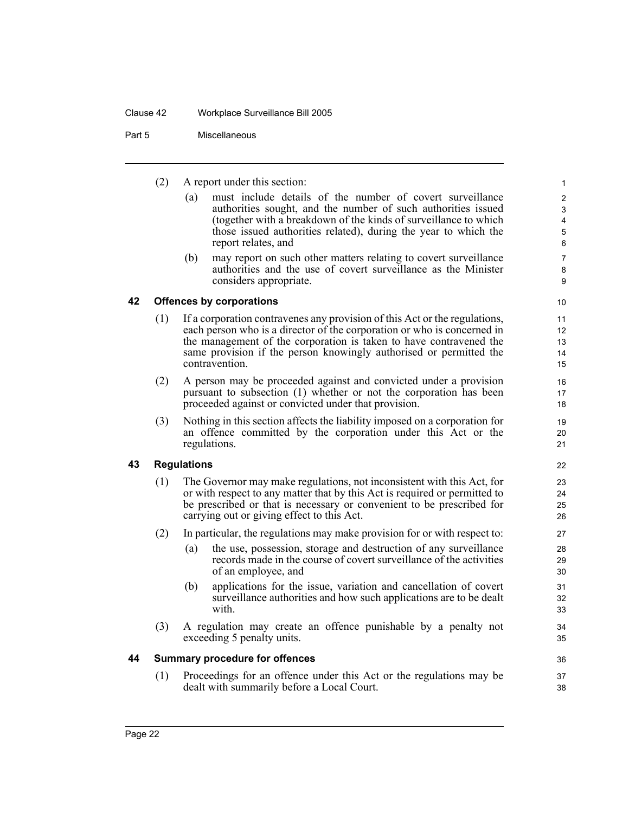Part 5 Miscellaneous

- (2) A report under this section:
	- (a) must include details of the number of covert surveillance authorities sought, and the number of such authorities issued (together with a breakdown of the kinds of surveillance to which those issued authorities related), during the year to which the report relates, and

36 37 38

(b) may report on such other matters relating to covert surveillance authorities and the use of covert surveillance as the Minister considers appropriate.

#### <span id="page-31-0"></span>**42 Offences by corporations**

- (1) If a corporation contravenes any provision of this Act or the regulations, each person who is a director of the corporation or who is concerned in the management of the corporation is taken to have contravened the same provision if the person knowingly authorised or permitted the contravention.
- (2) A person may be proceeded against and convicted under a provision pursuant to subsection (1) whether or not the corporation has been proceeded against or convicted under that provision.
- (3) Nothing in this section affects the liability imposed on a corporation for an offence committed by the corporation under this Act or the regulations.

#### <span id="page-31-1"></span>**43 Regulations**

- (1) The Governor may make regulations, not inconsistent with this Act, for or with respect to any matter that by this Act is required or permitted to be prescribed or that is necessary or convenient to be prescribed for carrying out or giving effect to this Act.
- (2) In particular, the regulations may make provision for or with respect to:
	- (a) the use, possession, storage and destruction of any surveillance records made in the course of covert surveillance of the activities of an employee, and
	- (b) applications for the issue, variation and cancellation of covert surveillance authorities and how such applications are to be dealt with.
- (3) A regulation may create an offence punishable by a penalty not exceeding 5 penalty units.

#### <span id="page-31-2"></span>**44 Summary procedure for offences**

(1) Proceedings for an offence under this Act or the regulations may be dealt with summarily before a Local Court.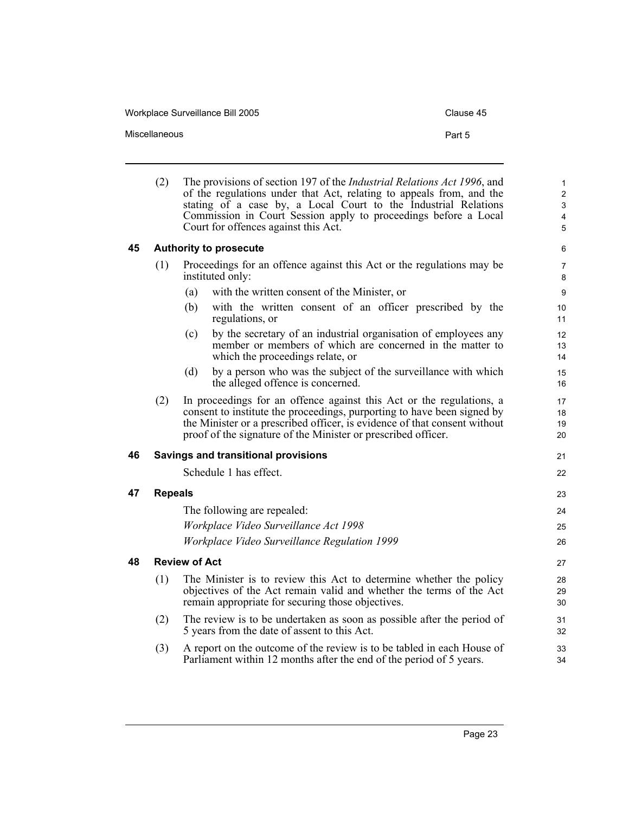|  | Workplace Surveillance Bill 2005 |  |
|--|----------------------------------|--|
|--|----------------------------------|--|

<span id="page-32-3"></span><span id="page-32-2"></span><span id="page-32-1"></span><span id="page-32-0"></span>

|    | (2)            | The provisions of section 197 of the <i>Industrial Relations Act 1996</i> , and<br>of the regulations under that Act, relating to appeals from, and the<br>stating of a case by, a Local Court to the Industrial Relations<br>Commission in Court Session apply to proceedings before a Local<br>Court for offences against this Act. | $\mathbf{1}$<br>2<br>$\mathfrak{S}$<br>4<br>5 |
|----|----------------|---------------------------------------------------------------------------------------------------------------------------------------------------------------------------------------------------------------------------------------------------------------------------------------------------------------------------------------|-----------------------------------------------|
| 45 |                | <b>Authority to prosecute</b>                                                                                                                                                                                                                                                                                                         | 6                                             |
|    | (1)            | Proceedings for an offence against this Act or the regulations may be<br>instituted only:                                                                                                                                                                                                                                             | $\overline{7}$<br>8                           |
|    |                | with the written consent of the Minister, or<br>(a)                                                                                                                                                                                                                                                                                   | 9                                             |
|    |                | (b)<br>with the written consent of an officer prescribed by the<br>regulations, or                                                                                                                                                                                                                                                    | 10<br>11                                      |
|    |                | by the secretary of an industrial organisation of employees any<br>(c)<br>member or members of which are concerned in the matter to<br>which the proceedings relate, or                                                                                                                                                               | 12<br>13<br>14                                |
|    |                | (d)<br>by a person who was the subject of the surveillance with which<br>the alleged offence is concerned.                                                                                                                                                                                                                            | 15<br>16                                      |
|    | (2)            | In proceedings for an offence against this Act or the regulations, a<br>consent to institute the proceedings, purporting to have been signed by<br>the Minister or a prescribed officer, is evidence of that consent without<br>proof of the signature of the Minister or prescribed officer.                                         | 17<br>18<br>19<br>20                          |
| 46 |                | Savings and transitional provisions                                                                                                                                                                                                                                                                                                   | 21                                            |
|    |                | Schedule 1 has effect.                                                                                                                                                                                                                                                                                                                | 22                                            |
| 47 | <b>Repeals</b> |                                                                                                                                                                                                                                                                                                                                       | 23                                            |
|    |                | The following are repealed:                                                                                                                                                                                                                                                                                                           | 24                                            |
|    |                | Workplace Video Surveillance Act 1998                                                                                                                                                                                                                                                                                                 | 25                                            |
|    |                | Workplace Video Surveillance Regulation 1999                                                                                                                                                                                                                                                                                          | 26                                            |
| 48 |                | <b>Review of Act</b>                                                                                                                                                                                                                                                                                                                  | 27                                            |
|    | (1)            | The Minister is to review this Act to determine whether the policy<br>objectives of the Act remain valid and whether the terms of the Act<br>remain appropriate for securing those objectives.                                                                                                                                        | 28<br>29<br>30                                |
|    | (2)            | The review is to be undertaken as soon as possible after the period of<br>5 years from the date of assent to this Act.                                                                                                                                                                                                                | 31<br>32                                      |
|    | (3)            | A report on the outcome of the review is to be tabled in each House of<br>Parliament within 12 months after the end of the period of 5 years.                                                                                                                                                                                         | 33<br>34                                      |
|    |                |                                                                                                                                                                                                                                                                                                                                       |                                               |

Miscellaneous **Part 5**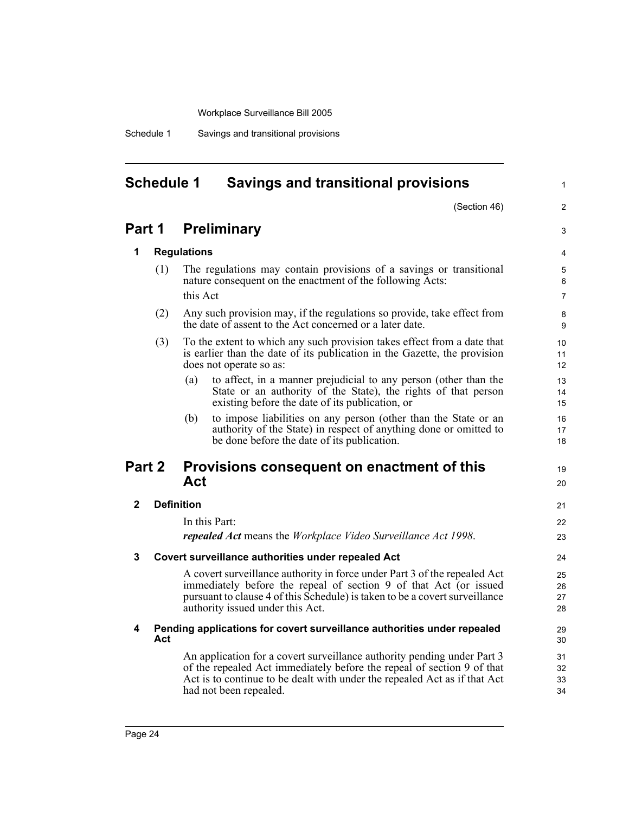Schedule 1 Savings and transitional provisions

## <span id="page-33-0"></span>**Schedule 1 Savings and transitional provisions**

(Section 46)

|              |     | (Section 46)                                                                                                                                                                                                                                                      | $\overline{2}$           |
|--------------|-----|-------------------------------------------------------------------------------------------------------------------------------------------------------------------------------------------------------------------------------------------------------------------|--------------------------|
| Part 1       |     | <b>Preliminary</b>                                                                                                                                                                                                                                                | 3                        |
| 1            |     | <b>Regulations</b>                                                                                                                                                                                                                                                | 4                        |
|              | (1) | The regulations may contain provisions of a savings or transitional<br>nature consequent on the enactment of the following Acts:<br>this Act                                                                                                                      | 5<br>6<br>$\overline{7}$ |
|              | (2) | Any such provision may, if the regulations so provide, take effect from<br>the date of assent to the Act concerned or a later date.                                                                                                                               | 8<br>9                   |
|              | (3) | To the extent to which any such provision takes effect from a date that<br>is earlier than the date of its publication in the Gazette, the provision<br>does not operate so as:                                                                                   | 10<br>11<br>12           |
|              |     | to affect, in a manner prejudicial to any person (other than the<br>(a)<br>State or an authority of the State), the rights of that person<br>existing before the date of its publication, or                                                                      | 13<br>14<br>15           |
|              |     | to impose liabilities on any person (other than the State or an<br>(b)<br>authority of the State) in respect of anything done or omitted to<br>be done before the date of its publication.                                                                        | 16<br>17<br>18           |
|              |     |                                                                                                                                                                                                                                                                   |                          |
| Part 2       |     | Provisions consequent on enactment of this<br>Act                                                                                                                                                                                                                 | 19<br>20                 |
| $\mathbf{2}$ |     | <b>Definition</b>                                                                                                                                                                                                                                                 | 21                       |
|              |     | In this Part:<br><b>repealed Act</b> means the Workplace Video Surveillance Act 1998.                                                                                                                                                                             | 22<br>23                 |
| 3            |     | Covert surveillance authorities under repealed Act                                                                                                                                                                                                                | 24                       |
|              |     | A covert surveillance authority in force under Part 3 of the repealed Act<br>immediately before the repeal of section 9 of that Act (or issued<br>pursuant to clause 4 of this Schedule) is taken to be a covert surveillance<br>authority issued under this Act. | 25<br>26<br>27<br>28     |
| 4            | Act | Pending applications for covert surveillance authorities under repealed                                                                                                                                                                                           | 29<br>30                 |